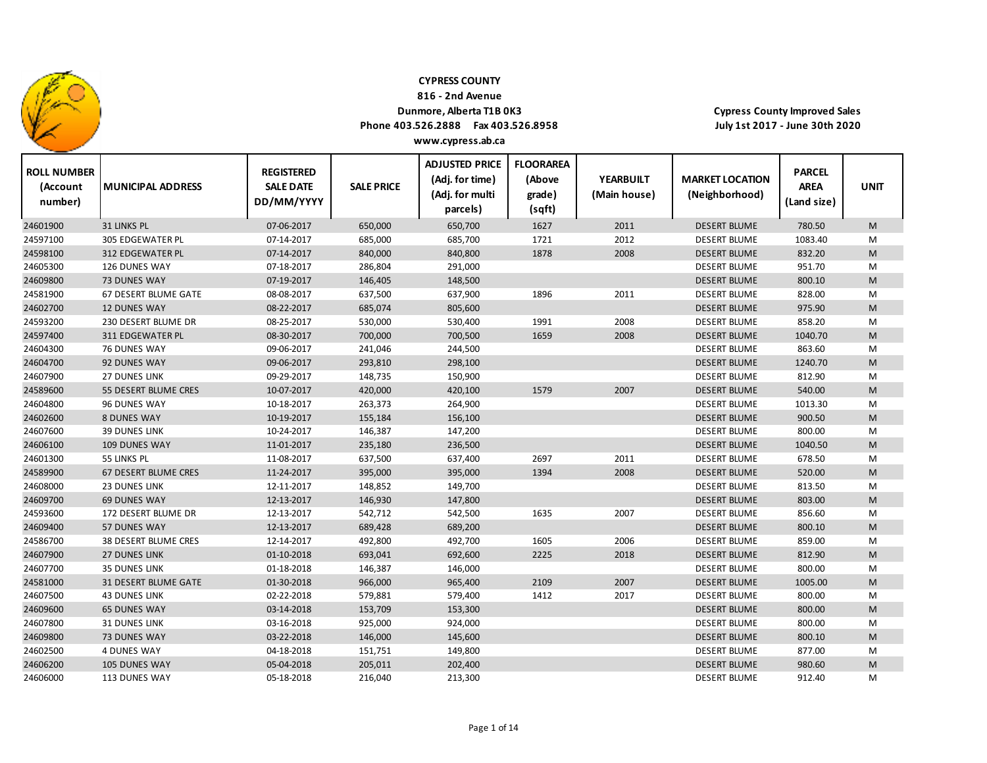

**816 ‐ 2nd Avenue**

### **Dunmore, Alberta T1B 0K3**

**Phone 403.526.2888 Fax 403.526.8958 www.cypress.ab.ca**

| <b>ROLL NUMBER</b><br>(Account<br>number) | <b>MUNICIPAL ADDRESS</b> | <b>REGISTERED</b><br><b>SALE DATE</b><br>DD/MM/YYYY | <b>SALE PRICE</b> | <b>ADJUSTED PRICE</b><br>(Adj. for time)<br>(Adj. for multi<br>parcels) | <b>FLOORAREA</b><br>(Above<br>grade)<br>(sqft) | <b>YEARBUILT</b><br>(Main house) | <b>MARKET LOCATION</b><br>(Neighborhood) | <b>PARCEL</b><br><b>AREA</b><br>(Land size) | <b>UNIT</b>                                                                                                |
|-------------------------------------------|--------------------------|-----------------------------------------------------|-------------------|-------------------------------------------------------------------------|------------------------------------------------|----------------------------------|------------------------------------------|---------------------------------------------|------------------------------------------------------------------------------------------------------------|
| 24601900                                  | <b>31 LINKS PL</b>       | 07-06-2017                                          | 650,000           | 650,700                                                                 | 1627                                           | 2011                             | <b>DESERT BLUME</b>                      | 780.50                                      | M                                                                                                          |
| 24597100                                  | 305 EDGEWATER PL         | 07-14-2017                                          | 685,000           | 685,700                                                                 | 1721                                           | 2012                             | <b>DESERT BLUME</b>                      | 1083.40                                     | M                                                                                                          |
| 24598100                                  | 312 EDGEWATER PL         | 07-14-2017                                          | 840,000           | 840,800                                                                 | 1878                                           | 2008                             | <b>DESERT BLUME</b>                      | 832.20                                      | M                                                                                                          |
| 24605300                                  | 126 DUNES WAY            | 07-18-2017                                          | 286,804           | 291,000                                                                 |                                                |                                  | <b>DESERT BLUME</b>                      | 951.70                                      | M                                                                                                          |
| 24609800                                  | <b>73 DUNES WAY</b>      | 07-19-2017                                          | 146,405           | 148,500                                                                 |                                                |                                  | <b>DESERT BLUME</b>                      | 800.10                                      | M                                                                                                          |
| 24581900                                  | 67 DESERT BLUME GATE     | 08-08-2017                                          | 637,500           | 637,900                                                                 | 1896                                           | 2011                             | <b>DESERT BLUME</b>                      | 828.00                                      | M                                                                                                          |
| 24602700                                  | <b>12 DUNES WAY</b>      | 08-22-2017                                          | 685,074           | 805,600                                                                 |                                                |                                  | <b>DESERT BLUME</b>                      | 975.90                                      | ${\sf M}$                                                                                                  |
| 24593200                                  | 230 DESERT BLUME DR      | 08-25-2017                                          | 530,000           | 530,400                                                                 | 1991                                           | 2008                             | <b>DESERT BLUME</b>                      | 858.20                                      | M                                                                                                          |
| 24597400                                  | 311 EDGEWATER PL         | 08-30-2017                                          | 700,000           | 700,500                                                                 | 1659                                           | 2008                             | <b>DESERT BLUME</b>                      | 1040.70                                     | M                                                                                                          |
| 24604300                                  | 76 DUNES WAY             | 09-06-2017                                          | 241,046           | 244,500                                                                 |                                                |                                  | <b>DESERT BLUME</b>                      | 863.60                                      | M                                                                                                          |
| 24604700                                  | <b>92 DUNES WAY</b>      | 09-06-2017                                          | 293,810           | 298,100                                                                 |                                                |                                  | <b>DESERT BLUME</b>                      | 1240.70                                     | M                                                                                                          |
| 24607900                                  | <b>27 DUNES LINK</b>     | 09-29-2017                                          | 148,735           | 150,900                                                                 |                                                |                                  | <b>DESERT BLUME</b>                      | 812.90                                      | M                                                                                                          |
| 24589600                                  | 55 DESERT BLUME CRES     | 10-07-2017                                          | 420,000           | 420,100                                                                 | 1579                                           | 2007                             | <b>DESERT BLUME</b>                      | 540.00                                      | M                                                                                                          |
| 24604800                                  | 96 DUNES WAY             | 10-18-2017                                          | 263,373           | 264,900                                                                 |                                                |                                  | <b>DESERT BLUME</b>                      | 1013.30                                     | M                                                                                                          |
| 24602600                                  | <b>8 DUNES WAY</b>       | 10-19-2017                                          | 155,184           | 156,100                                                                 |                                                |                                  | <b>DESERT BLUME</b>                      | 900.50                                      | M                                                                                                          |
| 24607600                                  | <b>39 DUNES LINK</b>     | 10-24-2017                                          | 146,387           | 147,200                                                                 |                                                |                                  | <b>DESERT BLUME</b>                      | 800.00                                      | M                                                                                                          |
| 24606100                                  | <b>109 DUNES WAY</b>     | 11-01-2017                                          | 235,180           | 236,500                                                                 |                                                |                                  | <b>DESERT BLUME</b>                      | 1040.50                                     | M                                                                                                          |
| 24601300                                  | 55 LINKS PL              | 11-08-2017                                          | 637,500           | 637,400                                                                 | 2697                                           | 2011                             | <b>DESERT BLUME</b>                      | 678.50                                      | M                                                                                                          |
| 24589900                                  | 67 DESERT BLUME CRES     | 11-24-2017                                          | 395,000           | 395,000                                                                 | 1394                                           | 2008                             | <b>DESERT BLUME</b>                      | 520.00                                      | M                                                                                                          |
| 24608000                                  | <b>23 DUNES LINK</b>     | 12-11-2017                                          | 148,852           | 149,700                                                                 |                                                |                                  | <b>DESERT BLUME</b>                      | 813.50                                      | M                                                                                                          |
| 24609700                                  | <b>69 DUNES WAY</b>      | 12-13-2017                                          | 146,930           | 147,800                                                                 |                                                |                                  | <b>DESERT BLUME</b>                      | 803.00                                      | M                                                                                                          |
| 24593600                                  | 172 DESERT BLUME DR      | 12-13-2017                                          | 542,712           | 542,500                                                                 | 1635                                           | 2007                             | <b>DESERT BLUME</b>                      | 856.60                                      | M                                                                                                          |
| 24609400                                  | 57 DUNES WAY             | 12-13-2017                                          | 689,428           | 689,200                                                                 |                                                |                                  | <b>DESERT BLUME</b>                      | 800.10                                      | M                                                                                                          |
| 24586700                                  | 38 DESERT BLUME CRES     | 12-14-2017                                          | 492,800           | 492,700                                                                 | 1605                                           | 2006                             | <b>DESERT BLUME</b>                      | 859.00                                      | M                                                                                                          |
| 24607900                                  | <b>27 DUNES LINK</b>     | 01-10-2018                                          | 693,041           | 692,600                                                                 | 2225                                           | 2018                             | <b>DESERT BLUME</b>                      | 812.90                                      | $\mathsf{M}% _{T}=\mathsf{M}_{T}\!\left( a,b\right) ,\ \mathsf{M}_{T}=\mathsf{M}_{T}\!\left( a,b\right) ,$ |
| 24607700                                  | <b>35 DUNES LINK</b>     | 01-18-2018                                          | 146,387           | 146,000                                                                 |                                                |                                  | <b>DESERT BLUME</b>                      | 800.00                                      | M                                                                                                          |
| 24581000                                  | 31 DESERT BLUME GATE     | 01-30-2018                                          | 966,000           | 965,400                                                                 | 2109                                           | 2007                             | <b>DESERT BLUME</b>                      | 1005.00                                     | M                                                                                                          |
| 24607500                                  | <b>43 DUNES LINK</b>     | 02-22-2018                                          | 579,881           | 579,400                                                                 | 1412                                           | 2017                             | <b>DESERT BLUME</b>                      | 800.00                                      | M                                                                                                          |
| 24609600                                  | <b>65 DUNES WAY</b>      | 03-14-2018                                          | 153,709           | 153,300                                                                 |                                                |                                  | <b>DESERT BLUME</b>                      | 800.00                                      | $\mathsf{M}% _{T}=\mathsf{M}_{T}\!\left( a,b\right) ,\ \mathsf{M}_{T}=\mathsf{M}_{T}\!\left( a,b\right) ,$ |
| 24607800                                  | <b>31 DUNES LINK</b>     | 03-16-2018                                          | 925,000           | 924,000                                                                 |                                                |                                  | <b>DESERT BLUME</b>                      | 800.00                                      | M                                                                                                          |
| 24609800                                  | <b>73 DUNES WAY</b>      | 03-22-2018                                          | 146,000           | 145,600                                                                 |                                                |                                  | <b>DESERT BLUME</b>                      | 800.10                                      | M                                                                                                          |
| 24602500                                  | <b>4 DUNES WAY</b>       | 04-18-2018                                          | 151,751           | 149,800                                                                 |                                                |                                  | <b>DESERT BLUME</b>                      | 877.00                                      | M                                                                                                          |
| 24606200                                  | <b>105 DUNES WAY</b>     | 05-04-2018                                          | 205,011           | 202,400                                                                 |                                                |                                  | <b>DESERT BLUME</b>                      | 980.60                                      | M                                                                                                          |
| 24606000                                  | 113 DUNES WAY            | 05-18-2018                                          | 216,040           | 213,300                                                                 |                                                |                                  | <b>DESERT BLUME</b>                      | 912.40                                      | M                                                                                                          |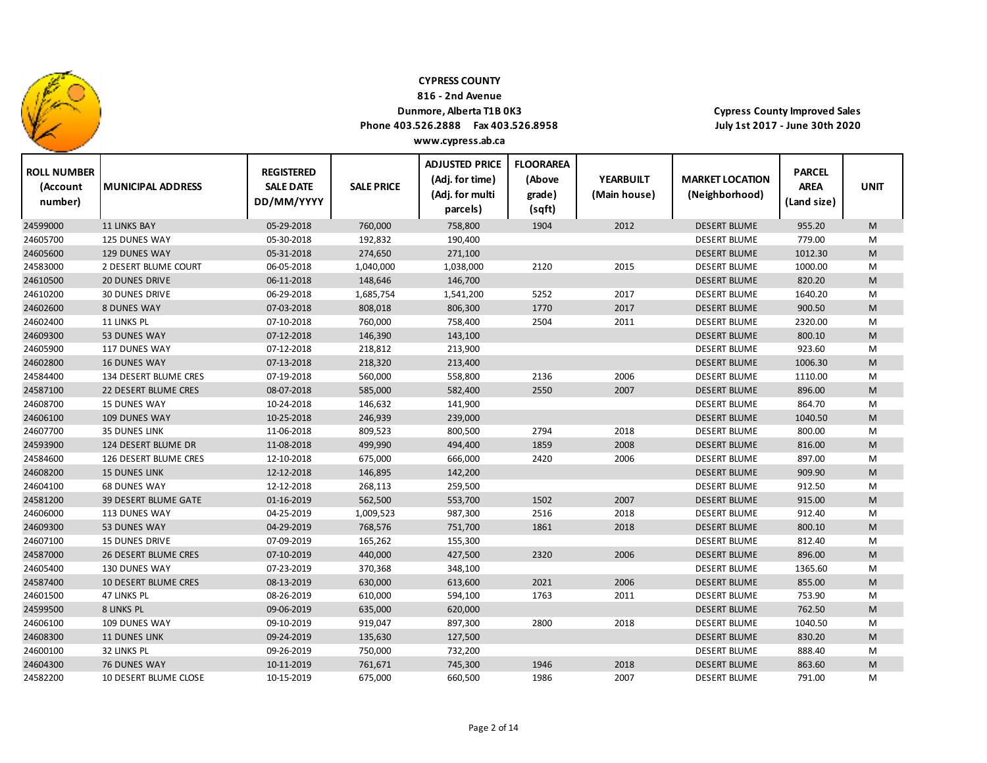

**816 ‐ 2nd Avenue**

### **Dunmore, Alberta T1B 0K3**

**Phone 403.526.2888 Fax 403.526.8958**

**Cypress County Improved Sales July 1st 2017 ‐ June 30th 2020**

| <b>ROLL NUMBER</b><br>(Account<br>number) | <b>MUNICIPAL ADDRESS</b>    | <b>REGISTERED</b><br><b>SALE DATE</b><br>DD/MM/YYYY | <b>SALE PRICE</b> | <b>ADJUSTED PRICE</b><br>(Adj. for time)<br>(Adj. for multi<br>parcels) | <b>FLOORAREA</b><br>(Above<br>grade)<br>(sqft) | <b>YEARBUILT</b><br>(Main house) | <b>MARKET LOCATION</b><br>(Neighborhood) | <b>PARCEL</b><br><b>AREA</b><br>(Land size) | <b>UNIT</b> |
|-------------------------------------------|-----------------------------|-----------------------------------------------------|-------------------|-------------------------------------------------------------------------|------------------------------------------------|----------------------------------|------------------------------------------|---------------------------------------------|-------------|
| 24599000                                  | <b>11 LINKS BAY</b>         | 05-29-2018                                          | 760,000           | 758,800                                                                 | 1904                                           | 2012                             | <b>DESERT BLUME</b>                      | 955.20                                      | M           |
| 24605700                                  | 125 DUNES WAY               | 05-30-2018                                          | 192,832           | 190,400                                                                 |                                                |                                  | <b>DESERT BLUME</b>                      | 779.00                                      | M           |
| 24605600                                  | <b>129 DUNES WAY</b>        | 05-31-2018                                          | 274,650           | 271,100                                                                 |                                                |                                  | <b>DESERT BLUME</b>                      | 1012.30                                     | M           |
| 24583000                                  | 2 DESERT BLUME COURT        | 06-05-2018                                          | 1,040,000         | 1,038,000                                                               | 2120                                           | 2015                             | <b>DESERT BLUME</b>                      | 1000.00                                     | M           |
| 24610500                                  | <b>20 DUNES DRIVE</b>       | 06-11-2018                                          | 148,646           | 146,700                                                                 |                                                |                                  | <b>DESERT BLUME</b>                      | 820.20                                      | M           |
| 24610200                                  | <b>30 DUNES DRIVE</b>       | 06-29-2018                                          | 1,685,754         | 1,541,200                                                               | 5252                                           | 2017                             | <b>DESERT BLUME</b>                      | 1640.20                                     | M           |
| 24602600                                  | <b>8 DUNES WAY</b>          | 07-03-2018                                          | 808,018           | 806,300                                                                 | 1770                                           | 2017                             | <b>DESERT BLUME</b>                      | 900.50                                      | M           |
| 24602400                                  | 11 LINKS PL                 | 07-10-2018                                          | 760,000           | 758,400                                                                 | 2504                                           | 2011                             | <b>DESERT BLUME</b>                      | 2320.00                                     | М           |
| 24609300                                  | 53 DUNES WAY                | 07-12-2018                                          | 146,390           | 143,100                                                                 |                                                |                                  | <b>DESERT BLUME</b>                      | 800.10                                      | M           |
| 24605900                                  | 117 DUNES WAY               | 07-12-2018                                          | 218,812           | 213,900                                                                 |                                                |                                  | <b>DESERT BLUME</b>                      | 923.60                                      | М           |
| 24602800                                  | <b>16 DUNES WAY</b>         | 07-13-2018                                          | 218,320           | 213,400                                                                 |                                                |                                  | <b>DESERT BLUME</b>                      | 1006.30                                     | M           |
| 24584400                                  | 134 DESERT BLUME CRES       | 07-19-2018                                          | 560,000           | 558,800                                                                 | 2136                                           | 2006                             | DESERT BLUME                             | 1110.00                                     | М           |
| 24587100                                  | 22 DESERT BLUME CRES        | 08-07-2018                                          | 585,000           | 582,400                                                                 | 2550                                           | 2007                             | <b>DESERT BLUME</b>                      | 896.00                                      | M           |
| 24608700                                  | <b>15 DUNES WAY</b>         | 10-24-2018                                          | 146,632           | 141,900                                                                 |                                                |                                  | <b>DESERT BLUME</b>                      | 864.70                                      | M           |
| 24606100                                  | 109 DUNES WAY               | 10-25-2018                                          | 246,939           | 239,000                                                                 |                                                |                                  | <b>DESERT BLUME</b>                      | 1040.50                                     | M           |
| 24607700                                  | <b>35 DUNES LINK</b>        | 11-06-2018                                          | 809,523           | 800,500                                                                 | 2794                                           | 2018                             | <b>DESERT BLUME</b>                      | 800.00                                      | M           |
| 24593900                                  | 124 DESERT BLUME DR         | 11-08-2018                                          | 499,990           | 494,400                                                                 | 1859                                           | 2008                             | <b>DESERT BLUME</b>                      | 816.00                                      | M           |
| 24584600                                  | 126 DESERT BLUME CRES       | 12-10-2018                                          | 675,000           | 666,000                                                                 | 2420                                           | 2006                             | <b>DESERT BLUME</b>                      | 897.00                                      | M           |
| 24608200                                  | <b>15 DUNES LINK</b>        | 12-12-2018                                          | 146,895           | 142,200                                                                 |                                                |                                  | <b>DESERT BLUME</b>                      | 909.90                                      | M           |
| 24604100                                  | <b>68 DUNES WAY</b>         | 12-12-2018                                          | 268,113           | 259,500                                                                 |                                                |                                  | DESERT BLUME                             | 912.50                                      | М           |
| 24581200                                  | <b>39 DESERT BLUME GATE</b> | 01-16-2019                                          | 562,500           | 553,700                                                                 | 1502                                           | 2007                             | <b>DESERT BLUME</b>                      | 915.00                                      | M           |
| 24606000                                  | 113 DUNES WAY               | 04-25-2019                                          | 1,009,523         | 987,300                                                                 | 2516                                           | 2018                             | <b>DESERT BLUME</b>                      | 912.40                                      | M           |
| 24609300                                  | 53 DUNES WAY                | 04-29-2019                                          | 768,576           | 751,700                                                                 | 1861                                           | 2018                             | <b>DESERT BLUME</b>                      | 800.10                                      | M           |
| 24607100                                  | <b>15 DUNES DRIVE</b>       | 07-09-2019                                          | 165,262           | 155,300                                                                 |                                                |                                  | <b>DESERT BLUME</b>                      | 812.40                                      | M           |
| 24587000                                  | <b>26 DESERT BLUME CRES</b> | 07-10-2019                                          | 440,000           | 427,500                                                                 | 2320                                           | 2006                             | <b>DESERT BLUME</b>                      | 896.00                                      | M           |
| 24605400                                  | <b>130 DUNES WAY</b>        | 07-23-2019                                          | 370,368           | 348,100                                                                 |                                                |                                  | <b>DESERT BLUME</b>                      | 1365.60                                     | M           |
| 24587400                                  | <b>10 DESERT BLUME CRES</b> | 08-13-2019                                          | 630,000           | 613,600                                                                 | 2021                                           | 2006                             | <b>DESERT BLUME</b>                      | 855.00                                      | M           |
| 24601500                                  | 47 LINKS PL                 | 08-26-2019                                          | 610,000           | 594,100                                                                 | 1763                                           | 2011                             | DESERT BLUME                             | 753.90                                      | М           |
| 24599500                                  | <b>8 LINKS PL</b>           | 09-06-2019                                          | 635,000           | 620,000                                                                 |                                                |                                  | <b>DESERT BLUME</b>                      | 762.50                                      | M           |
| 24606100                                  | <b>109 DUNES WAY</b>        | 09-10-2019                                          | 919,047           | 897,300                                                                 | 2800                                           | 2018                             | <b>DESERT BLUME</b>                      | 1040.50                                     | M           |
| 24608300                                  | <b>11 DUNES LINK</b>        | 09-24-2019                                          | 135,630           | 127,500                                                                 |                                                |                                  | <b>DESERT BLUME</b>                      | 830.20                                      | M           |
| 24600100                                  | 32 LINKS PL                 | 09-26-2019                                          | 750,000           | 732,200                                                                 |                                                |                                  | <b>DESERT BLUME</b>                      | 888.40                                      | М           |
| 24604300                                  | <b>76 DUNES WAY</b>         | 10-11-2019                                          | 761,671           | 745,300                                                                 | 1946                                           | 2018                             | <b>DESERT BLUME</b>                      | 863.60                                      | M           |
| 24582200                                  | 10 DESERT BLUME CLOSE       | 10-15-2019                                          | 675,000           | 660,500                                                                 | 1986                                           | 2007                             | <b>DESERT BLUME</b>                      | 791.00                                      | м           |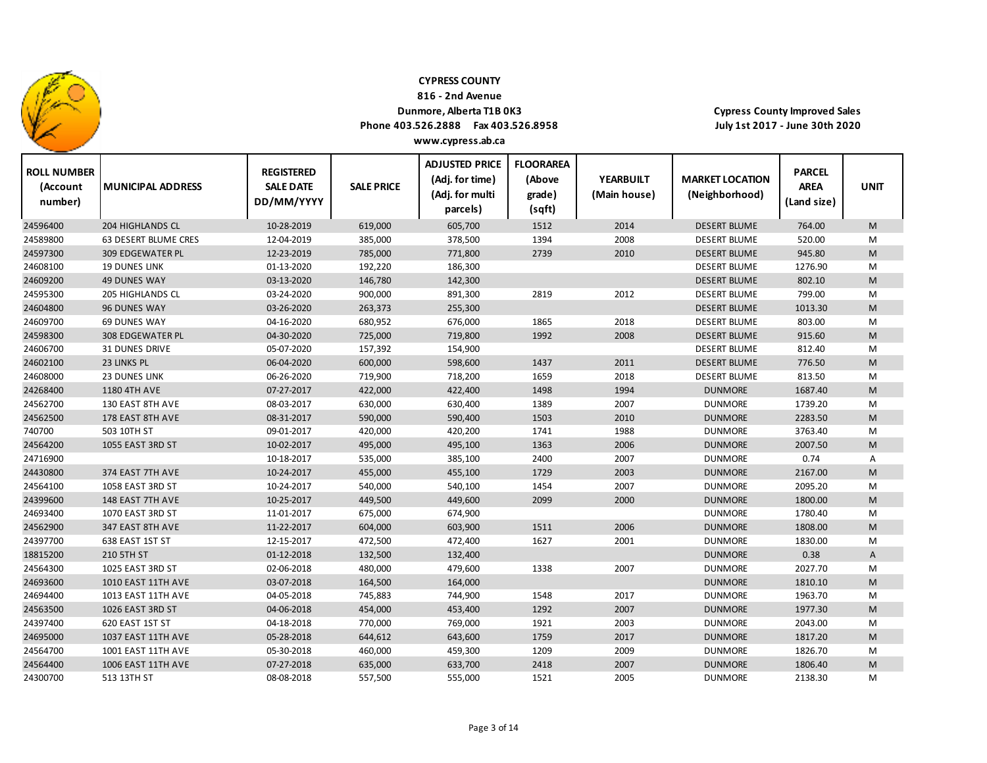

**ROLL NUMBER (Account number)**

24564400

24300700

1006 EAST 11TH AVE

513 13TH ST

#### **CYPRESS COUNTY**

**816 ‐ 2nd Avenue**

## **Dunmore, Alberta T1B 0K3**

**Phone 403.526.2888 Fax 403.526.8958 www.cypress.ab.ca**

**ADJUSTED PRICE**

**FLOORAREA**

**Cypress County Improved Sales July 1st 2017 ‐ June 30th 2020**

> **PARCEL AREA (Land size)**

**UNIT**

| <b>KULL NUMBER</b><br>(Account<br>number) | <b>MUNICIPAL ADDRESS</b>    | <b>KLGISILKLU</b><br><b>SALE DATE</b><br>DD/MM/YYYY | <b>SALE PRICE</b> | (Adj. for time)<br>(Adj. for multi<br>parcels) | (Above<br>grade)<br>(sqft) | <b>YEARBUILT</b><br>(Main house) | <b>MARKET LOCATION</b><br>(Neighborhood) | PAKLEL<br><b>AREA</b><br>(Land size) | UN |
|-------------------------------------------|-----------------------------|-----------------------------------------------------|-------------------|------------------------------------------------|----------------------------|----------------------------------|------------------------------------------|--------------------------------------|----|
| 24596400                                  | 204 HIGHLANDS CL            | 10-28-2019                                          | 619,000           | 605,700                                        | 1512                       | 2014                             | <b>DESERT BLUME</b>                      | 764.00                               | M  |
| 24589800                                  | <b>63 DESERT BLUME CRES</b> | 12-04-2019                                          | 385,000           | 378,500                                        | 1394                       | 2008                             | <b>DESERT BLUME</b>                      | 520.00                               | M  |
| 24597300                                  | <b>309 EDGEWATER PL</b>     | 12-23-2019                                          | 785,000           | 771,800                                        | 2739                       | 2010                             | <b>DESERT BLUME</b>                      | 945.80                               | M  |
| 24608100                                  | <b>19 DUNES LINK</b>        | 01-13-2020                                          | 192,220           | 186,300                                        |                            |                                  | <b>DESERT BLUME</b>                      | 1276.90                              | M  |
| 24609200                                  | <b>49 DUNES WAY</b>         | 03-13-2020                                          | 146,780           | 142,300                                        |                            |                                  | <b>DESERT BLUME</b>                      | 802.10                               | M  |
| 24595300                                  | <b>205 HIGHLANDS CL</b>     | 03-24-2020                                          | 900,000           | 891,300                                        | 2819                       | 2012                             | <b>DESERT BLUME</b>                      | 799.00                               | M  |
| 24604800                                  | <b>96 DUNES WAY</b>         | 03-26-2020                                          | 263,373           | 255,300                                        |                            |                                  | <b>DESERT BLUME</b>                      | 1013.30                              | N  |
| 24609700                                  | 69 DUNES WAY                | 04-16-2020                                          | 680,952           | 676,000                                        | 1865                       | 2018                             | <b>DESERT BLUME</b>                      | 803.00                               | M  |
| 24598300                                  | <b>308 EDGEWATER PL</b>     | 04-30-2020                                          | 725,000           | 719,800                                        | 1992                       | 2008                             | <b>DESERT BLUME</b>                      | 915.60                               | M  |
| 24606700                                  | <b>31 DUNES DRIVE</b>       | 05-07-2020                                          | 157,392           | 154,900                                        |                            |                                  | <b>DESERT BLUME</b>                      | 812.40                               | M  |
| 24602100                                  | 23 LINKS PL                 | 06-04-2020                                          | 600,000           | 598,600                                        | 1437                       | 2011                             | <b>DESERT BLUME</b>                      | 776.50                               | M  |
| 24608000                                  | <b>23 DUNES LINK</b>        | 06-26-2020                                          | 719,900           | 718,200                                        | 1659                       | 2018                             | <b>DESERT BLUME</b>                      | 813.50                               | M  |
| 24268400                                  | 1180 4TH AVE                | 07-27-2017                                          | 422,000           | 422,400                                        | 1498                       | 1994                             | <b>DUNMORE</b>                           | 1687.40                              | N  |
| 24562700                                  | 130 EAST 8TH AVE            | 08-03-2017                                          | 630,000           | 630,400                                        | 1389                       | 2007                             | <b>DUNMORE</b>                           | 1739.20                              | M  |
|                                           |                             |                                                     |                   |                                                |                            |                                  |                                          |                                      |    |

**REGISTERED**

| 24597300 | <b>309 EDGEWATER PL</b>   | 12-23-2019 | 785,000 | 771,800 | 2739 | 2010 | <b>DESERT BLUME</b> | 945.80  | M |
|----------|---------------------------|------------|---------|---------|------|------|---------------------|---------|---|
| 24608100 | <b>19 DUNES LINK</b>      | 01-13-2020 | 192,220 | 186,300 |      |      | <b>DESERT BLUME</b> | 1276.90 | M |
| 24609200 | <b>49 DUNES WAY</b>       | 03-13-2020 | 146,780 | 142,300 |      |      | <b>DESERT BLUME</b> | 802.10  | M |
| 24595300 | <b>205 HIGHLANDS CL</b>   | 03-24-2020 | 900,000 | 891,300 | 2819 | 2012 | <b>DESERT BLUME</b> | 799.00  | M |
| 24604800 | <b>96 DUNES WAY</b>       | 03-26-2020 | 263,373 | 255,300 |      |      | <b>DESERT BLUME</b> | 1013.30 | M |
| 24609700 | <b>69 DUNES WAY</b>       | 04-16-2020 | 680,952 | 676,000 | 1865 | 2018 | <b>DESERT BLUME</b> | 803.00  | М |
| 24598300 | <b>308 EDGEWATER PL</b>   | 04-30-2020 | 725,000 | 719,800 | 1992 | 2008 | <b>DESERT BLUME</b> | 915.60  | M |
| 24606700 | <b>31 DUNES DRIVE</b>     | 05-07-2020 | 157,392 | 154,900 |      |      | <b>DESERT BLUME</b> | 812.40  | М |
| 24602100 | 23 LINKS PL               | 06-04-2020 | 600,000 | 598,600 | 1437 | 2011 | <b>DESERT BLUME</b> | 776.50  | M |
| 24608000 | <b>23 DUNES LINK</b>      | 06-26-2020 | 719,900 | 718,200 | 1659 | 2018 | <b>DESERT BLUME</b> | 813.50  | M |
| 24268400 | 1180 4TH AVE              | 07-27-2017 | 422,000 | 422,400 | 1498 | 1994 | <b>DUNMORE</b>      | 1687.40 | M |
| 24562700 | 130 EAST 8TH AVE          | 08-03-2017 | 630,000 | 630,400 | 1389 | 2007 | <b>DUNMORE</b>      | 1739.20 | м |
| 24562500 | 178 EAST 8TH AVE          | 08-31-2017 | 590,000 | 590,400 | 1503 | 2010 | <b>DUNMORE</b>      | 2283.50 | M |
| 740700   | 503 10TH ST               | 09-01-2017 | 420,000 | 420,200 | 1741 | 1988 | <b>DUNMORE</b>      | 3763.40 | м |
| 24564200 | 1055 EAST 3RD ST          | 10-02-2017 | 495,000 | 495,100 | 1363 | 2006 | <b>DUNMORE</b>      | 2007.50 | M |
| 24716900 |                           | 10-18-2017 | 535,000 | 385,100 | 2400 | 2007 | <b>DUNMORE</b>      | 0.74    | Α |
| 24430800 | 374 EAST 7TH AVE          | 10-24-2017 | 455,000 | 455,100 | 1729 | 2003 | <b>DUNMORE</b>      | 2167.00 | M |
| 24564100 | 1058 EAST 3RD ST          | 10-24-2017 | 540,000 | 540,100 | 1454 | 2007 | <b>DUNMORE</b>      | 2095.20 | М |
| 24399600 | 148 EAST 7TH AVE          | 10-25-2017 | 449,500 | 449,600 | 2099 | 2000 | <b>DUNMORE</b>      | 1800.00 | M |
| 24693400 | 1070 EAST 3RD ST          | 11-01-2017 | 675,000 | 674,900 |      |      | <b>DUNMORE</b>      | 1780.40 | М |
| 24562900 | 347 EAST 8TH AVE          | 11-22-2017 | 604,000 | 603,900 | 1511 | 2006 | <b>DUNMORE</b>      | 1808.00 | M |
| 24397700 | 638 EAST 1ST ST           | 12-15-2017 | 472,500 | 472,400 | 1627 | 2001 | <b>DUNMORE</b>      | 1830.00 | M |
| 18815200 | 210 5TH ST                | 01-12-2018 | 132,500 | 132,400 |      |      | <b>DUNMORE</b>      | 0.38    | A |
| 24564300 | 1025 EAST 3RD ST          | 02-06-2018 | 480,000 | 479,600 | 1338 | 2007 | <b>DUNMORE</b>      | 2027.70 | M |
| 24693600 | <b>1010 EAST 11TH AVE</b> | 03-07-2018 | 164,500 | 164,000 |      |      | <b>DUNMORE</b>      | 1810.10 | M |
| 24694400 | 1013 EAST 11TH AVE        | 04-05-2018 | 745,883 | 744,900 | 1548 | 2017 | <b>DUNMORE</b>      | 1963.70 | М |
| 24563500 | 1026 EAST 3RD ST          | 04-06-2018 | 454,000 | 453,400 | 1292 | 2007 | <b>DUNMORE</b>      | 1977.30 | M |
| 24397400 | 620 EAST 1ST ST           | 04-18-2018 | 770,000 | 769,000 | 1921 | 2003 | <b>DUNMORE</b>      | 2043.00 | M |
| 24695000 | 1037 EAST 11TH AVE        | 05-28-2018 | 644,612 | 643,600 | 1759 | 2017 | <b>DUNMORE</b>      | 1817.20 | M |
| 24564700 | 1001 EAST 11TH AVE        | 05-30-2018 | 460,000 | 459,300 | 1209 | 2009 | <b>DUNMORE</b>      | 1826.70 | М |

AVE 05‐30‐2018 460,000 459,300 1209 2009 DUNMORE 1826.70 M

AVE 07‐27‐2018 635,000 633,700 2418 2007 DUNMORE 1806.40 M

ST 08‐08‐2018 557,500 555,000 1521 2005 DUNMORE 2138.30 M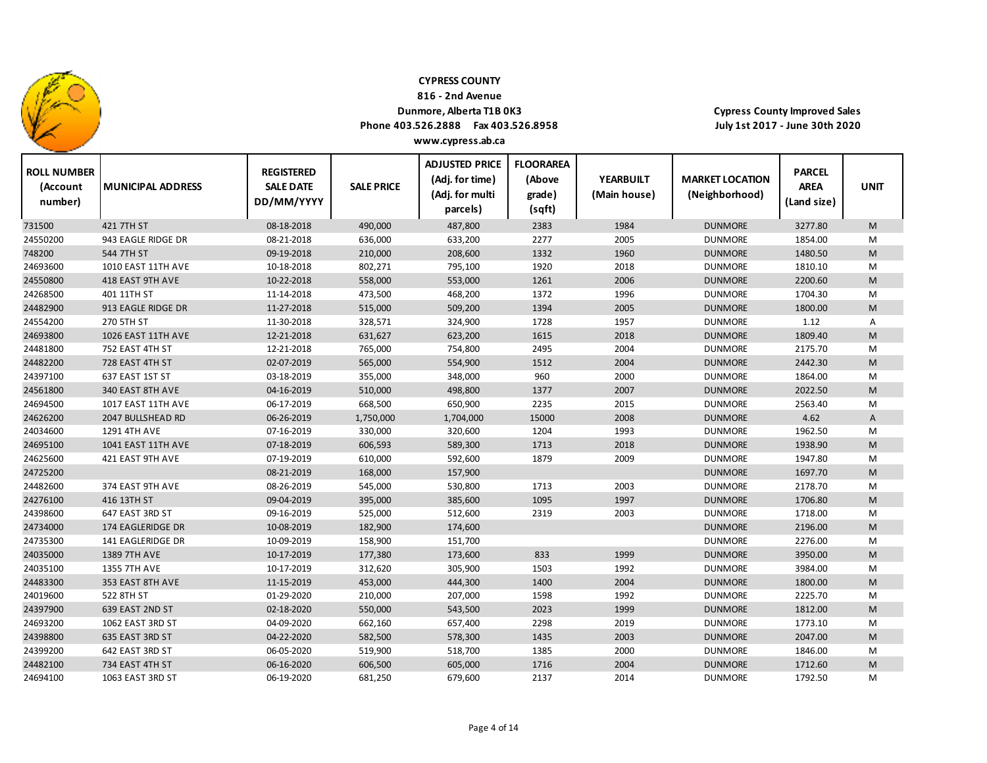

**816 ‐ 2nd Avenue**

### **Dunmore, Alberta T1B 0K3**

**Phone 403.526.2888 Fax 403.526.8958 www.cypress.ab.ca**

| <b>ROLL NUMBER</b><br>(Account<br>number) | <b>MUNICIPAL ADDRESS</b> | <b>REGISTERED</b><br><b>SALE DATE</b><br>DD/MM/YYYY | <b>SALE PRICE</b> | <b>ADJUSTED PRICE</b><br>(Adj. for time)<br>(Adj. for multi<br>parcels) | <b>FLOORAREA</b><br>(Above<br>grade)<br>(sqft) | <b>YEARBUILT</b><br>(Main house) | <b>MARKET LOCATION</b><br>(Neighborhood) | <b>PARCEL</b><br><b>AREA</b><br>(Land size) | <b>UNIT</b>    |
|-------------------------------------------|--------------------------|-----------------------------------------------------|-------------------|-------------------------------------------------------------------------|------------------------------------------------|----------------------------------|------------------------------------------|---------------------------------------------|----------------|
| 731500                                    | 421 7TH ST               | 08-18-2018                                          | 490,000           | 487,800                                                                 | 2383                                           | 1984                             | <b>DUNMORE</b>                           | 3277.80                                     | M              |
| 24550200                                  | 943 EAGLE RIDGE DR       | 08-21-2018                                          | 636,000           | 633,200                                                                 | 2277                                           | 2005                             | <b>DUNMORE</b>                           | 1854.00                                     | M              |
| 748200                                    | 544 7TH ST               | 09-19-2018                                          | 210,000           | 208,600                                                                 | 1332                                           | 1960                             | <b>DUNMORE</b>                           | 1480.50                                     | M              |
| 24693600                                  | 1010 EAST 11TH AVE       | 10-18-2018                                          | 802,271           | 795,100                                                                 | 1920                                           | 2018                             | <b>DUNMORE</b>                           | 1810.10                                     | M              |
| 24550800                                  | 418 EAST 9TH AVE         | 10-22-2018                                          | 558,000           | 553,000                                                                 | 1261                                           | 2006                             | <b>DUNMORE</b>                           | 2200.60                                     | M              |
| 24268500                                  | 401 11TH ST              | 11-14-2018                                          | 473,500           | 468,200                                                                 | 1372                                           | 1996                             | <b>DUNMORE</b>                           | 1704.30                                     | M              |
| 24482900                                  | 913 EAGLE RIDGE DR       | 11-27-2018                                          | 515,000           | 509,200                                                                 | 1394                                           | 2005                             | <b>DUNMORE</b>                           | 1800.00                                     | M              |
| 24554200                                  | 270 5TH ST               | 11-30-2018                                          | 328,571           | 324,900                                                                 | 1728                                           | 1957                             | <b>DUNMORE</b>                           | 1.12                                        | Α              |
| 24693800                                  | 1026 EAST 11TH AVE       | 12-21-2018                                          | 631,627           | 623,200                                                                 | 1615                                           | 2018                             | <b>DUNMORE</b>                           | 1809.40                                     | M              |
| 24481800                                  | 752 EAST 4TH ST          | 12-21-2018                                          | 765,000           | 754,800                                                                 | 2495                                           | 2004                             | <b>DUNMORE</b>                           | 2175.70                                     | M              |
| 24482200                                  | 728 EAST 4TH ST          | 02-07-2019                                          | 565,000           | 554,900                                                                 | 1512                                           | 2004                             | <b>DUNMORE</b>                           | 2442.30                                     | M              |
| 24397100                                  | 637 EAST 1ST ST          | 03-18-2019                                          | 355,000           | 348,000                                                                 | 960                                            | 2000                             | <b>DUNMORE</b>                           | 1864.00                                     | M              |
| 24561800                                  | 340 EAST 8TH AVE         | 04-16-2019                                          | 510,000           | 498,800                                                                 | 1377                                           | 2007                             | <b>DUNMORE</b>                           | 2022.50                                     | M              |
| 24694500                                  | 1017 EAST 11TH AVE       | 06-17-2019                                          | 668,500           | 650,900                                                                 | 2235                                           | 2015                             | <b>DUNMORE</b>                           | 2563.40                                     | M              |
| 24626200                                  | 2047 BULLSHEAD RD        | 06-26-2019                                          | 1,750,000         | 1,704,000                                                               | 15000                                          | 2008                             | <b>DUNMORE</b>                           | 4.62                                        | $\overline{A}$ |
| 24034600                                  | 1291 4TH AVE             | 07-16-2019                                          | 330,000           | 320,600                                                                 | 1204                                           | 1993                             | <b>DUNMORE</b>                           | 1962.50                                     | M              |
| 24695100                                  | 1041 EAST 11TH AVE       | 07-18-2019                                          | 606,593           | 589,300                                                                 | 1713                                           | 2018                             | <b>DUNMORE</b>                           | 1938.90                                     | M              |
| 24625600                                  | 421 EAST 9TH AVE         | 07-19-2019                                          | 610,000           | 592,600                                                                 | 1879                                           | 2009                             | <b>DUNMORE</b>                           | 1947.80                                     | M              |
| 24725200                                  |                          | 08-21-2019                                          | 168,000           | 157,900                                                                 |                                                |                                  | <b>DUNMORE</b>                           | 1697.70                                     | M              |
| 24482600                                  | 374 EAST 9TH AVE         | 08-26-2019                                          | 545,000           | 530,800                                                                 | 1713                                           | 2003                             | <b>DUNMORE</b>                           | 2178.70                                     | M              |
| 24276100                                  | 416 13TH ST              | 09-04-2019                                          | 395,000           | 385,600                                                                 | 1095                                           | 1997                             | <b>DUNMORE</b>                           | 1706.80                                     | M              |
| 24398600                                  | 647 EAST 3RD ST          | 09-16-2019                                          | 525,000           | 512,600                                                                 | 2319                                           | 2003                             | <b>DUNMORE</b>                           | 1718.00                                     | M              |
| 24734000                                  | 174 EAGLERIDGE DR        | 10-08-2019                                          | 182,900           | 174,600                                                                 |                                                |                                  | <b>DUNMORE</b>                           | 2196.00                                     | ${\sf M}$      |
| 24735300                                  | 141 EAGLERIDGE DR        | 10-09-2019                                          | 158,900           | 151,700                                                                 |                                                |                                  | <b>DUNMORE</b>                           | 2276.00                                     | M              |
| 24035000                                  | 1389 7TH AVE             | 10-17-2019                                          | 177,380           | 173,600                                                                 | 833                                            | 1999                             | <b>DUNMORE</b>                           | 3950.00                                     | ${\sf M}$      |
| 24035100                                  | 1355 7TH AVE             | 10-17-2019                                          | 312,620           | 305,900                                                                 | 1503                                           | 1992                             | <b>DUNMORE</b>                           | 3984.00                                     | M              |
| 24483300                                  | 353 EAST 8TH AVE         | 11-15-2019                                          | 453,000           | 444,300                                                                 | 1400                                           | 2004                             | <b>DUNMORE</b>                           | 1800.00                                     | ${\sf M}$      |
| 24019600                                  | 522 8TH ST               | 01-29-2020                                          | 210,000           | 207,000                                                                 | 1598                                           | 1992                             | <b>DUNMORE</b>                           | 2225.70                                     | M              |
| 24397900                                  | 639 EAST 2ND ST          | 02-18-2020                                          | 550,000           | 543,500                                                                 | 2023                                           | 1999                             | <b>DUNMORE</b>                           | 1812.00                                     | M              |
| 24693200                                  | 1062 EAST 3RD ST         | 04-09-2020                                          | 662,160           | 657,400                                                                 | 2298                                           | 2019                             | <b>DUNMORE</b>                           | 1773.10                                     | M              |
| 24398800                                  | 635 EAST 3RD ST          | 04-22-2020                                          | 582,500           | 578,300                                                                 | 1435                                           | 2003                             | <b>DUNMORE</b>                           | 2047.00                                     | M              |
| 24399200                                  | 642 EAST 3RD ST          | 06-05-2020                                          | 519,900           | 518,700                                                                 | 1385                                           | 2000                             | <b>DUNMORE</b>                           | 1846.00                                     | M              |
| 24482100                                  | 734 EAST 4TH ST          | 06-16-2020                                          | 606,500           | 605,000                                                                 | 1716                                           | 2004                             | <b>DUNMORE</b>                           | 1712.60                                     | M              |
| 24694100                                  | 1063 EAST 3RD ST         | 06-19-2020                                          | 681,250           | 679,600                                                                 | 2137                                           | 2014                             | <b>DUNMORE</b>                           | 1792.50                                     | M              |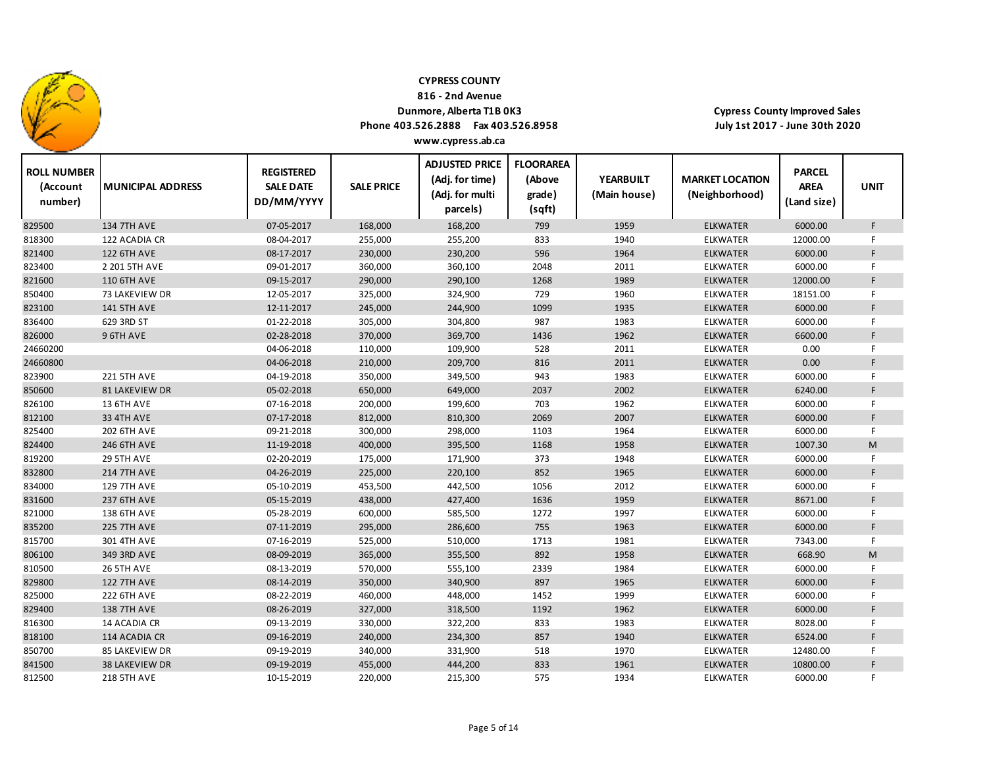

**816 ‐ 2nd Avenue**

### **Dunmore, Alberta T1B 0K3**

**Phone 403.526.2888 Fax 403.526.8958**

**Cypress County Improved Sales July 1st 2017 ‐ June 30th 2020**

| <b>ROLL NUMBER</b><br>(Account<br>number) | <b>MUNICIPAL ADDRESS</b> | <b>REGISTERED</b><br><b>SALE DATE</b><br>DD/MM/YYYY | <b>SALE PRICE</b> | <b>ADJUSTED PRICE</b><br>(Adj. for time)<br>(Adj. for multi<br>parcels) | <b>FLOORAREA</b><br>(Above<br>grade)<br>(sqft) | <b>YEARBUILT</b><br>(Main house) | <b>MARKET LOCATION</b><br>(Neighborhood) | <b>PARCEL</b><br><b>AREA</b><br>(Land size) | <b>UNIT</b> |
|-------------------------------------------|--------------------------|-----------------------------------------------------|-------------------|-------------------------------------------------------------------------|------------------------------------------------|----------------------------------|------------------------------------------|---------------------------------------------|-------------|
| 829500                                    | <b>134 7TH AVE</b>       | 07-05-2017                                          | 168,000           | 168,200                                                                 | 799                                            | 1959                             | <b>ELKWATER</b>                          | 6000.00                                     | F           |
| 818300                                    | 122 ACADIA CR            | 08-04-2017                                          | 255,000           | 255,200                                                                 | 833                                            | 1940                             | <b>ELKWATER</b>                          | 12000.00                                    | F.          |
| 821400                                    | <b>122 6TH AVE</b>       | 08-17-2017                                          | 230,000           | 230,200                                                                 | 596                                            | 1964                             | <b>ELKWATER</b>                          | 6000.00                                     | F           |
| 823400                                    | 2 201 5TH AVE            | 09-01-2017                                          | 360,000           | 360,100                                                                 | 2048                                           | 2011                             | <b>ELKWATER</b>                          | 6000.00                                     | F.          |
| 821600                                    | <b>110 6TH AVE</b>       | 09-15-2017                                          | 290,000           | 290,100                                                                 | 1268                                           | 1989                             | <b>ELKWATER</b>                          | 12000.00                                    | F.          |
| 850400                                    | 73 LAKEVIEW DR           | 12-05-2017                                          | 325,000           | 324,900                                                                 | 729                                            | 1960                             | <b>ELKWATER</b>                          | 18151.00                                    | F.          |
| 823100                                    | <b>141 5TH AVE</b>       | 12-11-2017                                          | 245,000           | 244,900                                                                 | 1099                                           | 1935                             | <b>ELKWATER</b>                          | 6000.00                                     | F.          |
| 836400                                    | 629 3RD ST               | 01-22-2018                                          | 305,000           | 304,800                                                                 | 987                                            | 1983                             | <b>ELKWATER</b>                          | 6000.00                                     | F           |
| 826000                                    | 96TH AVE                 | 02-28-2018                                          | 370,000           | 369,700                                                                 | 1436                                           | 1962                             | <b>ELKWATER</b>                          | 6600.00                                     | F           |
| 24660200                                  |                          | 04-06-2018                                          | 110,000           | 109,900                                                                 | 528                                            | 2011                             | <b>ELKWATER</b>                          | 0.00                                        | F.          |
| 24660800                                  |                          | 04-06-2018                                          | 210,000           | 209,700                                                                 | 816                                            | 2011                             | <b>ELKWATER</b>                          | 0.00                                        | F           |
| 823900                                    | <b>221 5TH AVE</b>       | 04-19-2018                                          | 350,000           | 349,500                                                                 | 943                                            | 1983                             | <b>ELKWATER</b>                          | 6000.00                                     | F.          |
| 850600                                    | 81 LAKEVIEW DR           | 05-02-2018                                          | 650,000           | 649,000                                                                 | 2037                                           | 2002                             | <b>ELKWATER</b>                          | 6240.00                                     | F           |
| 826100                                    | <b>13 6TH AVE</b>        | 07-16-2018                                          | 200,000           | 199,600                                                                 | 703                                            | 1962                             | <b>ELKWATER</b>                          | 6000.00                                     | F           |
| 812100                                    | <b>33 4TH AVE</b>        | 07-17-2018                                          | 812,000           | 810,300                                                                 | 2069                                           | 2007                             | <b>ELKWATER</b>                          | 6000.00                                     | F           |
| 825400                                    | <b>202 6TH AVE</b>       | 09-21-2018                                          | 300,000           | 298,000                                                                 | 1103                                           | 1964                             | <b>ELKWATER</b>                          | 6000.00                                     | F.          |
| 824400                                    | <b>246 6TH AVE</b>       | 11-19-2018                                          | 400,000           | 395,500                                                                 | 1168                                           | 1958                             | <b>ELKWATER</b>                          | 1007.30                                     | M           |
| 819200                                    | 29 5TH AVE               | 02-20-2019                                          | 175,000           | 171,900                                                                 | 373                                            | 1948                             | ELKWATER                                 | 6000.00                                     | F.          |
| 832800                                    | <b>214 7TH AVE</b>       | 04-26-2019                                          | 225,000           | 220,100                                                                 | 852                                            | 1965                             | <b>ELKWATER</b>                          | 6000.00                                     | F.          |
| 834000                                    | <b>129 7TH AVE</b>       | 05-10-2019                                          | 453,500           | 442,500                                                                 | 1056                                           | 2012                             | <b>ELKWATER</b>                          | 6000.00                                     | F           |
| 831600                                    | <b>237 6TH AVE</b>       | 05-15-2019                                          | 438,000           | 427,400                                                                 | 1636                                           | 1959                             | <b>ELKWATER</b>                          | 8671.00                                     | F.          |
| 821000                                    | <b>138 6TH AVE</b>       | 05-28-2019                                          | 600,000           | 585,500                                                                 | 1272                                           | 1997                             | <b>ELKWATER</b>                          | 6000.00                                     | F.          |
| 835200                                    | <b>225 7TH AVE</b>       | 07-11-2019                                          | 295,000           | 286,600                                                                 | 755                                            | 1963                             | <b>ELKWATER</b>                          | 6000.00                                     | F           |
| 815700                                    | 301 4TH AVE              | 07-16-2019                                          | 525,000           | 510,000                                                                 | 1713                                           | 1981                             | <b>ELKWATER</b>                          | 7343.00                                     | F.          |
| 806100                                    | 349 3RD AVE              | 08-09-2019                                          | 365,000           | 355,500                                                                 | 892                                            | 1958                             | <b>ELKWATER</b>                          | 668.90                                      | ${\sf M}$   |
| 810500                                    | 26 5TH AVE               | 08-13-2019                                          | 570,000           | 555,100                                                                 | 2339                                           | 1984                             | <b>ELKWATER</b>                          | 6000.00                                     | F.          |
| 829800                                    | <b>122 7TH AVE</b>       | 08-14-2019                                          | 350,000           | 340,900                                                                 | 897                                            | 1965                             | <b>ELKWATER</b>                          | 6000.00                                     | F.          |
| 825000                                    | <b>222 6TH AVE</b>       | 08-22-2019                                          | 460,000           | 448,000                                                                 | 1452                                           | 1999                             | <b>ELKWATER</b>                          | 6000.00                                     | F.          |
| 829400                                    | <b>138 7TH AVE</b>       | 08-26-2019                                          | 327,000           | 318,500                                                                 | 1192                                           | 1962                             | <b>ELKWATER</b>                          | 6000.00                                     | F.          |
| 816300                                    | 14 ACADIA CR             | 09-13-2019                                          | 330,000           | 322,200                                                                 | 833                                            | 1983                             | <b>ELKWATER</b>                          | 8028.00                                     | F           |
| 818100                                    | 114 ACADIA CR            | 09-16-2019                                          | 240,000           | 234,300                                                                 | 857                                            | 1940                             | <b>ELKWATER</b>                          | 6524.00                                     | F           |
| 850700                                    | 85 LAKEVIEW DR           | 09-19-2019                                          | 340,000           | 331,900                                                                 | 518                                            | 1970                             | <b>ELKWATER</b>                          | 12480.00                                    | F.          |
| 841500                                    | 38 LAKEVIEW DR           | 09-19-2019                                          | 455,000           | 444,200                                                                 | 833                                            | 1961                             | <b>ELKWATER</b>                          | 10800.00                                    | F           |
| 812500                                    | <b>218 5TH AVE</b>       | 10-15-2019                                          | 220,000           | 215,300                                                                 | 575                                            | 1934                             | <b>ELKWATER</b>                          | 6000.00                                     | F.          |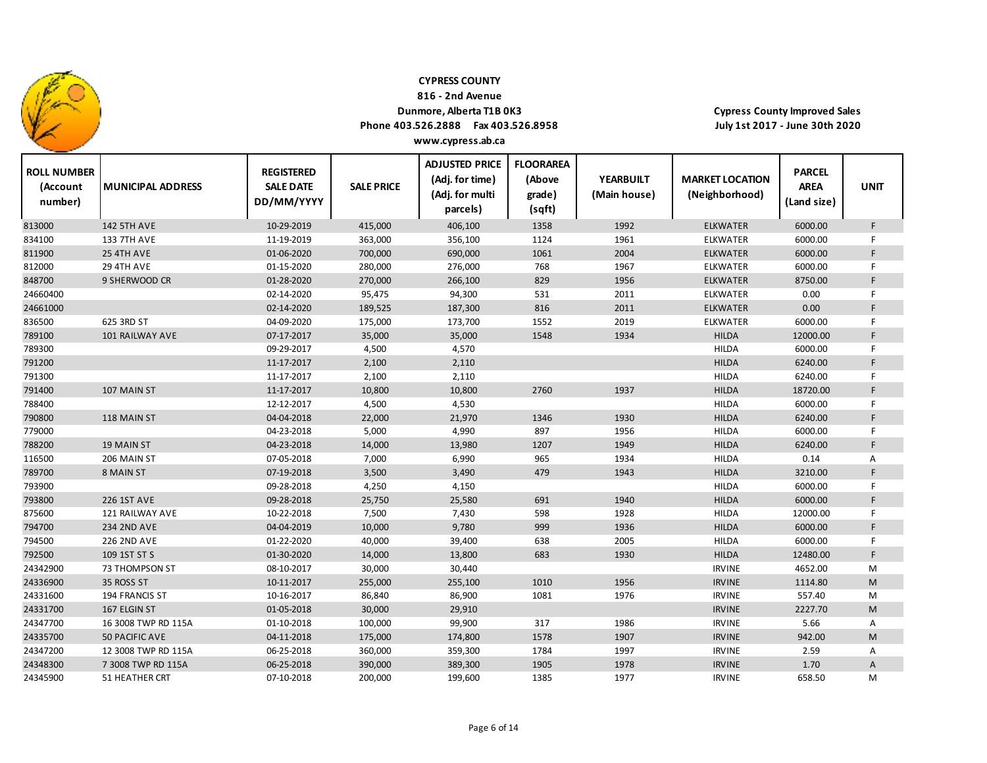

**816 ‐ 2nd Avenue**

# **Dunmore, Alberta T1B 0K3**

**Phone 403.526.2888 Fax 403.526.8958**

**Cypress County Improved Sales July 1st 2017 ‐ June 30th 2020**

| <b>ROLL NUMBER</b><br>(Account<br>number) | <b>MUNICIPAL ADDRESS</b> | <b>REGISTERED</b><br><b>SALE DATE</b><br>DD/MM/YYYY | <b>SALE PRICE</b> | <b>ADJUSTED PRICE</b><br>(Adj. for time)<br>(Adj. for multi<br>parcels) | <b>FLOORAREA</b><br>(Above<br>grade)<br>(sqft) | <b>YEARBUILT</b><br>(Main house) | <b>MARKET LOCATION</b><br>(Neighborhood) | <b>PARCEL</b><br><b>AREA</b><br>(Land size) | <b>UNIT</b> |
|-------------------------------------------|--------------------------|-----------------------------------------------------|-------------------|-------------------------------------------------------------------------|------------------------------------------------|----------------------------------|------------------------------------------|---------------------------------------------|-------------|
| 813000                                    | <b>142 5TH AVE</b>       | 10-29-2019                                          | 415,000           | 406,100                                                                 | 1358                                           | 1992                             | <b>ELKWATER</b>                          | 6000.00                                     | F           |
| 834100                                    | <b>133 7TH AVE</b>       | 11-19-2019                                          | 363,000           | 356,100                                                                 | 1124                                           | 1961                             | <b>ELKWATER</b>                          | 6000.00                                     | F.          |
| 811900                                    | 25 4TH AVE               | 01-06-2020                                          | 700,000           | 690,000                                                                 | 1061                                           | 2004                             | <b>ELKWATER</b>                          | 6000.00                                     | F           |
| 812000                                    | 29 4TH AVE               | 01-15-2020                                          | 280,000           | 276,000                                                                 | 768                                            | 1967                             | <b>ELKWATER</b>                          | 6000.00                                     | F           |
| 848700                                    | 9 SHERWOOD CR            | 01-28-2020                                          | 270,000           | 266,100                                                                 | 829                                            | 1956                             | <b>ELKWATER</b>                          | 8750.00                                     | F.          |
| 24660400                                  |                          | 02-14-2020                                          | 95,475            | 94,300                                                                  | 531                                            | 2011                             | <b>ELKWATER</b>                          | 0.00                                        | F.          |
| 24661000                                  |                          | 02-14-2020                                          | 189,525           | 187,300                                                                 | 816                                            | 2011                             | <b>ELKWATER</b>                          | 0.00                                        | F           |
| 836500                                    | 625 3RD ST               | 04-09-2020                                          | 175,000           | 173,700                                                                 | 1552                                           | 2019                             | <b>ELKWATER</b>                          | 6000.00                                     | F           |
| 789100                                    | 101 RAILWAY AVE          | 07-17-2017                                          | 35,000            | 35,000                                                                  | 1548                                           | 1934                             | <b>HILDA</b>                             | 12000.00                                    | F           |
| 789300                                    |                          | 09-29-2017                                          | 4,500             | 4,570                                                                   |                                                |                                  | <b>HILDA</b>                             | 6000.00                                     | F           |
| 791200                                    |                          | 11-17-2017                                          | 2,100             | 2,110                                                                   |                                                |                                  | <b>HILDA</b>                             | 6240.00                                     | F.          |
| 791300                                    |                          | 11-17-2017                                          | 2,100             | 2,110                                                                   |                                                |                                  | <b>HILDA</b>                             | 6240.00                                     | F.          |
| 791400                                    | 107 MAIN ST              | 11-17-2017                                          | 10,800            | 10,800                                                                  | 2760                                           | 1937                             | <b>HILDA</b>                             | 18720.00                                    | F           |
| 788400                                    |                          | 12-12-2017                                          | 4,500             | 4,530                                                                   |                                                |                                  | <b>HILDA</b>                             | 6000.00                                     | F.          |
| 790800                                    | 118 MAIN ST              | 04-04-2018                                          | 22,000            | 21,970                                                                  | 1346                                           | 1930                             | <b>HILDA</b>                             | 6240.00                                     | F           |
| 779000                                    |                          | 04-23-2018                                          | 5,000             | 4,990                                                                   | 897                                            | 1956                             | <b>HILDA</b>                             | 6000.00                                     | F.          |
| 788200                                    | 19 MAIN ST               | 04-23-2018                                          | 14,000            | 13,980                                                                  | 1207                                           | 1949                             | <b>HILDA</b>                             | 6240.00                                     | F           |
| 116500                                    | 206 MAIN ST              | 07-05-2018                                          | 7,000             | 6,990                                                                   | 965                                            | 1934                             | <b>HILDA</b>                             | 0.14                                        | A           |
| 789700                                    | 8 MAIN ST                | 07-19-2018                                          | 3,500             | 3,490                                                                   | 479                                            | 1943                             | <b>HILDA</b>                             | 3210.00                                     | F           |
| 793900                                    |                          | 09-28-2018                                          | 4,250             | 4,150                                                                   |                                                |                                  | <b>HILDA</b>                             | 6000.00                                     | F.          |
| 793800                                    | <b>226 1ST AVE</b>       | 09-28-2018                                          | 25,750            | 25,580                                                                  | 691                                            | 1940                             | <b>HILDA</b>                             | 6000.00                                     | F.          |
| 875600                                    | 121 RAILWAY AVE          | 10-22-2018                                          | 7,500             | 7,430                                                                   | 598                                            | 1928                             | <b>HILDA</b>                             | 12000.00                                    | F.          |
| 794700                                    | <b>234 2ND AVE</b>       | 04-04-2019                                          | 10,000            | 9,780                                                                   | 999                                            | 1936                             | <b>HILDA</b>                             | 6000.00                                     | F           |
| 794500                                    | <b>226 2ND AVE</b>       | 01-22-2020                                          | 40,000            | 39,400                                                                  | 638                                            | 2005                             | <b>HILDA</b>                             | 6000.00                                     | F.          |
| 792500                                    | 109 1ST ST S             | 01-30-2020                                          | 14,000            | 13,800                                                                  | 683                                            | 1930                             | <b>HILDA</b>                             | 12480.00                                    | F           |
| 24342900                                  | 73 THOMPSON ST           | 08-10-2017                                          | 30,000            | 30,440                                                                  |                                                |                                  | <b>IRVINE</b>                            | 4652.00                                     | M           |
| 24336900                                  | 35 ROSS ST               | 10-11-2017                                          | 255,000           | 255,100                                                                 | 1010                                           | 1956                             | <b>IRVINE</b>                            | 1114.80                                     | M           |
| 24331600                                  | 194 FRANCIS ST           | 10-16-2017                                          | 86,840            | 86,900                                                                  | 1081                                           | 1976                             | <b>IRVINE</b>                            | 557.40                                      | M           |
| 24331700                                  | 167 ELGIN ST             | 01-05-2018                                          | 30,000            | 29,910                                                                  |                                                |                                  | <b>IRVINE</b>                            | 2227.70                                     | ${\sf M}$   |
| 24347700                                  | 16 3008 TWP RD 115A      | 01-10-2018                                          | 100,000           | 99,900                                                                  | 317                                            | 1986                             | <b>IRVINE</b>                            | 5.66                                        | Α           |
| 24335700                                  | 50 PACIFIC AVE           | 04-11-2018                                          | 175,000           | 174,800                                                                 | 1578                                           | 1907                             | <b>IRVINE</b>                            | 942.00                                      | M           |
| 24347200                                  | 12 3008 TWP RD 115A      | 06-25-2018                                          | 360,000           | 359,300                                                                 | 1784                                           | 1997                             | <b>IRVINE</b>                            | 2.59                                        | Α           |
| 24348300                                  | 7 3008 TWP RD 115A       | 06-25-2018                                          | 390,000           | 389,300                                                                 | 1905                                           | 1978                             | <b>IRVINE</b>                            | 1.70                                        | Α           |
| 24345900                                  | 51 HEATHER CRT           | 07-10-2018                                          | 200,000           | 199,600                                                                 | 1385                                           | 1977                             | <b>IRVINE</b>                            | 658.50                                      | М           |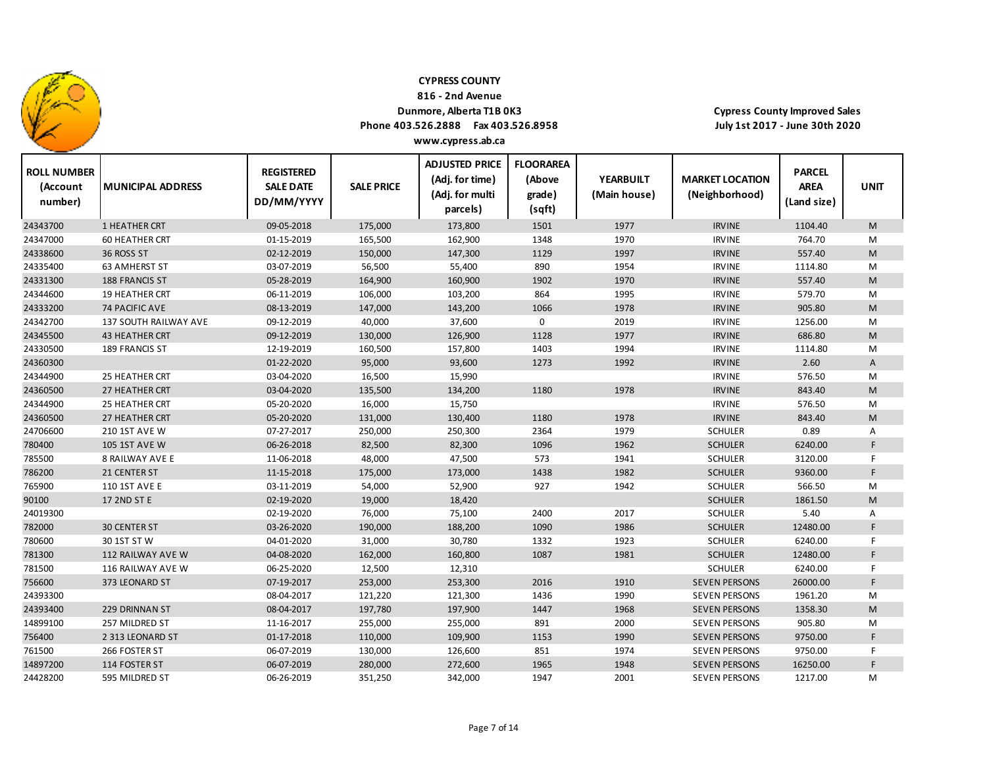

**816 ‐ 2nd Avenue**

# **Dunmore, Alberta T1B 0K3**

**Phone 403.526.2888 Fax 403.526.8958 www.cypress.ab.ca**

| <b>ROLL NUMBER</b><br>(Account<br>number) | <b>MUNICIPAL ADDRESS</b> | <b>REGISTERED</b><br><b>SALE DATE</b><br>DD/MM/YYYY | <b>SALE PRICE</b> | <b>ADJUSTED PRICE</b><br>(Adj. for time)<br>(Adj. for multi<br>parcels) | <b>FLOORAREA</b><br>(Above<br>grade)<br>(sqft) | <b>YEARBUILT</b><br>(Main house) | <b>MARKET LOCATION</b><br>(Neighborhood) | <b>PARCEL</b><br><b>AREA</b><br>(Land size) | <b>UNIT</b>                                                                                                |
|-------------------------------------------|--------------------------|-----------------------------------------------------|-------------------|-------------------------------------------------------------------------|------------------------------------------------|----------------------------------|------------------------------------------|---------------------------------------------|------------------------------------------------------------------------------------------------------------|
| 24343700                                  | 1 HEATHER CRT            | 09-05-2018                                          | 175,000           | 173,800                                                                 | 1501                                           | 1977                             | <b>IRVINE</b>                            | 1104.40                                     | M                                                                                                          |
| 24347000                                  | <b>60 HEATHER CRT</b>    | 01-15-2019                                          | 165,500           | 162,900                                                                 | 1348                                           | 1970                             | <b>IRVINE</b>                            | 764.70                                      | M                                                                                                          |
| 24338600                                  | 36 ROSS ST               | 02-12-2019                                          | 150,000           | 147,300                                                                 | 1129                                           | 1997                             | <b>IRVINE</b>                            | 557.40                                      | $\mathsf{M}% _{T}=\mathsf{M}_{T}\!\left( a,b\right) ,\ \mathsf{M}_{T}=\mathsf{M}_{T}\!\left( a,b\right) ,$ |
| 24335400                                  | <b>63 AMHERST ST</b>     | 03-07-2019                                          | 56,500            | 55,400                                                                  | 890                                            | 1954                             | <b>IRVINE</b>                            | 1114.80                                     | M                                                                                                          |
| 24331300                                  | <b>188 FRANCIS ST</b>    | 05-28-2019                                          | 164,900           | 160,900                                                                 | 1902                                           | 1970                             | <b>IRVINE</b>                            | 557.40                                      | $\mathsf{M}% _{T}=\mathsf{M}_{T}\!\left( a,b\right) ,\ \mathsf{M}_{T}=\mathsf{M}_{T}\!\left( a,b\right) ,$ |
| 24344600                                  | 19 HEATHER CRT           | 06-11-2019                                          | 106,000           | 103,200                                                                 | 864                                            | 1995                             | <b>IRVINE</b>                            | 579.70                                      | M                                                                                                          |
| 24333200                                  | 74 PACIFIC AVE           | 08-13-2019                                          | 147,000           | 143,200                                                                 | 1066                                           | 1978                             | <b>IRVINE</b>                            | 905.80                                      | M                                                                                                          |
| 24342700                                  | 137 SOUTH RAILWAY AVE    | 09-12-2019                                          | 40,000            | 37,600                                                                  | $\mathbf 0$                                    | 2019                             | <b>IRVINE</b>                            | 1256.00                                     | M                                                                                                          |
| 24345500                                  | <b>43 HEATHER CRT</b>    | 09-12-2019                                          | 130,000           | 126,900                                                                 | 1128                                           | 1977                             | <b>IRVINE</b>                            | 686.80                                      | M                                                                                                          |
| 24330500                                  | 189 FRANCIS ST           | 12-19-2019                                          | 160,500           | 157,800                                                                 | 1403                                           | 1994                             | <b>IRVINE</b>                            | 1114.80                                     | M                                                                                                          |
| 24360300                                  |                          | 01-22-2020                                          | 95,000            | 93,600                                                                  | 1273                                           | 1992                             | <b>IRVINE</b>                            | 2.60                                        | A                                                                                                          |
| 24344900                                  | 25 HEATHER CRT           | 03-04-2020                                          | 16,500            | 15,990                                                                  |                                                |                                  | <b>IRVINE</b>                            | 576.50                                      | M                                                                                                          |
| 24360500                                  | 27 HEATHER CRT           | 03-04-2020                                          | 135,500           | 134,200                                                                 | 1180                                           | 1978                             | <b>IRVINE</b>                            | 843.40                                      | M                                                                                                          |
| 24344900                                  | 25 HEATHER CRT           | 05-20-2020                                          | 16,000            | 15,750                                                                  |                                                |                                  | <b>IRVINE</b>                            | 576.50                                      | M                                                                                                          |
| 24360500                                  | 27 HEATHER CRT           | 05-20-2020                                          | 131,000           | 130,400                                                                 | 1180                                           | 1978                             | <b>IRVINE</b>                            | 843.40                                      | M                                                                                                          |
| 24706600                                  | 210 1ST AVE W            | 07-27-2017                                          | 250,000           | 250,300                                                                 | 2364                                           | 1979                             | <b>SCHULER</b>                           | 0.89                                        | Α                                                                                                          |
| 780400                                    | <b>105 1ST AVE W</b>     | 06-26-2018                                          | 82,500            | 82,300                                                                  | 1096                                           | 1962                             | <b>SCHULER</b>                           | 6240.00                                     | F                                                                                                          |
| 785500                                    | 8 RAILWAY AVE E          | 11-06-2018                                          | 48,000            | 47,500                                                                  | 573                                            | 1941                             | <b>SCHULER</b>                           | 3120.00                                     | F                                                                                                          |
| 786200                                    | 21 CENTER ST             | 11-15-2018                                          | 175,000           | 173,000                                                                 | 1438                                           | 1982                             | <b>SCHULER</b>                           | 9360.00                                     | $\mathsf{F}$                                                                                               |
| 765900                                    | 110 1ST AVE E            | 03-11-2019                                          | 54,000            | 52,900                                                                  | 927                                            | 1942                             | <b>SCHULER</b>                           | 566.50                                      | M                                                                                                          |
| 90100                                     | 17 2ND ST E              | 02-19-2020                                          | 19,000            | 18,420                                                                  |                                                |                                  | <b>SCHULER</b>                           | 1861.50                                     | M                                                                                                          |
| 24019300                                  |                          | 02-19-2020                                          | 76,000            | 75,100                                                                  | 2400                                           | 2017                             | <b>SCHULER</b>                           | 5.40                                        | Α                                                                                                          |
| 782000                                    | <b>30 CENTER ST</b>      | 03-26-2020                                          | 190,000           | 188,200                                                                 | 1090                                           | 1986                             | <b>SCHULER</b>                           | 12480.00                                    | F                                                                                                          |
| 780600                                    | 30 1ST ST W              | 04-01-2020                                          | 31,000            | 30,780                                                                  | 1332                                           | 1923                             | <b>SCHULER</b>                           | 6240.00                                     | F                                                                                                          |
| 781300                                    | 112 RAILWAY AVE W        | 04-08-2020                                          | 162,000           | 160,800                                                                 | 1087                                           | 1981                             | <b>SCHULER</b>                           | 12480.00                                    | F                                                                                                          |
| 781500                                    | 116 RAILWAY AVE W        | 06-25-2020                                          | 12,500            | 12,310                                                                  |                                                |                                  | <b>SCHULER</b>                           | 6240.00                                     | F                                                                                                          |
| 756600                                    | 373 LEONARD ST           | 07-19-2017                                          | 253,000           | 253,300                                                                 | 2016                                           | 1910                             | <b>SEVEN PERSONS</b>                     | 26000.00                                    | F                                                                                                          |
| 24393300                                  |                          | 08-04-2017                                          | 121,220           | 121,300                                                                 | 1436                                           | 1990                             | <b>SEVEN PERSONS</b>                     | 1961.20                                     | M                                                                                                          |
| 24393400                                  | 229 DRINNAN ST           | 08-04-2017                                          | 197,780           | 197,900                                                                 | 1447                                           | 1968                             | <b>SEVEN PERSONS</b>                     | 1358.30                                     | M                                                                                                          |
| 14899100                                  | 257 MILDRED ST           | 11-16-2017                                          | 255,000           | 255,000                                                                 | 891                                            | 2000                             | <b>SEVEN PERSONS</b>                     | 905.80                                      | M                                                                                                          |
| 756400                                    | 2 313 LEONARD ST         | 01-17-2018                                          | 110,000           | 109,900                                                                 | 1153                                           | 1990                             | <b>SEVEN PERSONS</b>                     | 9750.00                                     | F                                                                                                          |
| 761500                                    | 266 FOSTER ST            | 06-07-2019                                          | 130,000           | 126,600                                                                 | 851                                            | 1974                             | <b>SEVEN PERSONS</b>                     | 9750.00                                     | F                                                                                                          |
| 14897200                                  | 114 FOSTER ST            | 06-07-2019                                          | 280,000           | 272,600                                                                 | 1965                                           | 1948                             | <b>SEVEN PERSONS</b>                     | 16250.00                                    | F                                                                                                          |
| 24428200                                  | 595 MILDRED ST           | 06-26-2019                                          | 351,250           | 342,000                                                                 | 1947                                           | 2001                             | <b>SEVEN PERSONS</b>                     | 1217.00                                     | M                                                                                                          |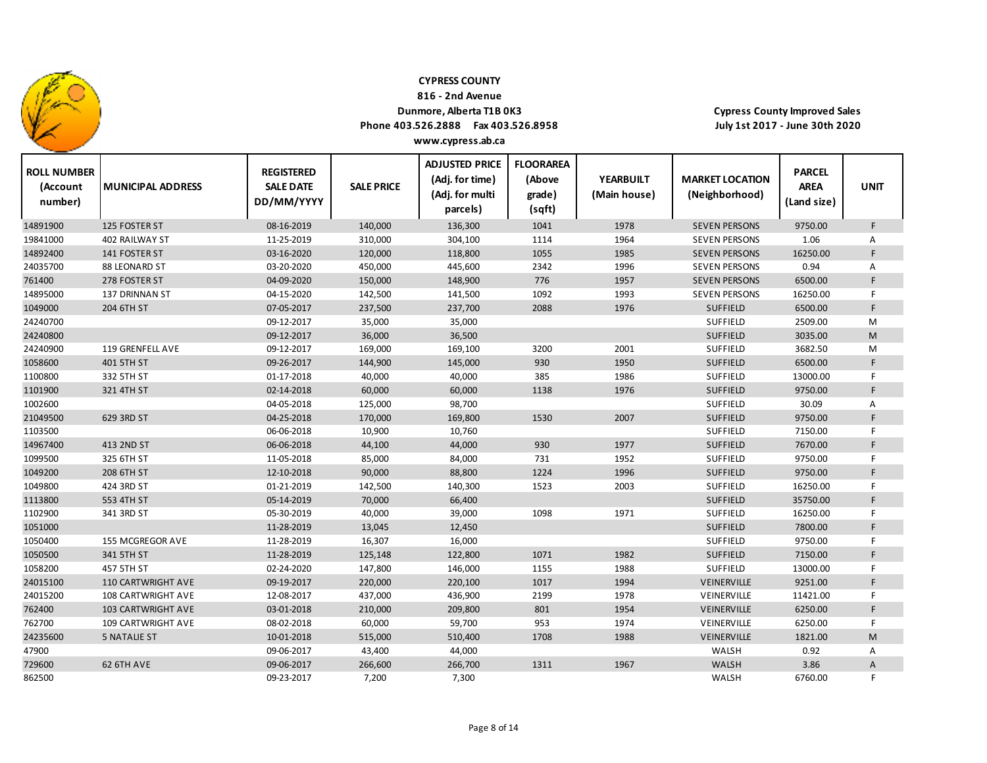

**816 ‐ 2nd Avenue**

# **Dunmore, Alberta T1B 0K3**

**Phone 403.526.2888 Fax 403.526.8958**

**Cypress County Improved Sales July 1st 2017 ‐ June 30th 2020**

| <b>ROLL NUMBER</b><br>(Account<br>number) | <b>MUNICIPAL ADDRESS</b>  | <b>REGISTERED</b><br><b>SALE DATE</b><br>DD/MM/YYYY | <b>SALE PRICE</b> | <b>ADJUSTED PRICE</b><br>(Adj. for time)<br>(Adj. for multi<br>parcels) | <b>FLOORAREA</b><br>(Above<br>grade)<br>(sqft) | <b>YEARBUILT</b><br>(Main house) | <b>MARKET LOCATION</b><br>(Neighborhood) | <b>PARCEL</b><br><b>AREA</b><br>(Land size) | <b>UNIT</b> |
|-------------------------------------------|---------------------------|-----------------------------------------------------|-------------------|-------------------------------------------------------------------------|------------------------------------------------|----------------------------------|------------------------------------------|---------------------------------------------|-------------|
| 14891900                                  | 125 FOSTER ST             | 08-16-2019                                          | 140,000           | 136,300                                                                 | 1041                                           | 1978                             | <b>SEVEN PERSONS</b>                     | 9750.00                                     | F           |
| 19841000                                  | <b>402 RAILWAY ST</b>     | 11-25-2019                                          | 310,000           | 304,100                                                                 | 1114                                           | 1964                             | <b>SEVEN PERSONS</b>                     | 1.06                                        | Α           |
| 14892400                                  | 141 FOSTER ST             | 03-16-2020                                          | 120,000           | 118,800                                                                 | 1055                                           | 1985                             | <b>SEVEN PERSONS</b>                     | 16250.00                                    | F           |
| 24035700                                  | 88 LEONARD ST             | 03-20-2020                                          | 450,000           | 445,600                                                                 | 2342                                           | 1996                             | <b>SEVEN PERSONS</b>                     | 0.94                                        | Α           |
| 761400                                    | 278 FOSTER ST             | 04-09-2020                                          | 150,000           | 148,900                                                                 | 776                                            | 1957                             | <b>SEVEN PERSONS</b>                     | 6500.00                                     | F.          |
| 14895000                                  | 137 DRINNAN ST            | 04-15-2020                                          | 142,500           | 141,500                                                                 | 1092                                           | 1993                             | <b>SEVEN PERSONS</b>                     | 16250.00                                    | F.          |
| 1049000                                   | 204 6TH ST                | 07-05-2017                                          | 237,500           | 237,700                                                                 | 2088                                           | 1976                             | <b>SUFFIELD</b>                          | 6500.00                                     | F           |
| 24240700                                  |                           | 09-12-2017                                          | 35,000            | 35,000                                                                  |                                                |                                  | <b>SUFFIELD</b>                          | 2509.00                                     | M           |
| 24240800                                  |                           | 09-12-2017                                          | 36,000            | 36,500                                                                  |                                                |                                  | <b>SUFFIELD</b>                          | 3035.00                                     | M           |
| 24240900                                  | 119 GRENFELL AVE          | 09-12-2017                                          | 169,000           | 169,100                                                                 | 3200                                           | 2001                             | <b>SUFFIELD</b>                          | 3682.50                                     | М           |
| 1058600                                   | 401 5TH ST                | 09-26-2017                                          | 144,900           | 145,000                                                                 | 930                                            | 1950                             | <b>SUFFIELD</b>                          | 6500.00                                     | F           |
| 1100800                                   | 332 5TH ST                | 01-17-2018                                          | 40,000            | 40,000                                                                  | 385                                            | 1986                             | <b>SUFFIELD</b>                          | 13000.00                                    | F           |
| 1101900                                   | 321 4TH ST                | 02-14-2018                                          | 60,000            | 60,000                                                                  | 1138                                           | 1976                             | <b>SUFFIELD</b>                          | 9750.00                                     | $\mathsf F$ |
| 1002600                                   |                           | 04-05-2018                                          | 125,000           | 98,700                                                                  |                                                |                                  | <b>SUFFIELD</b>                          | 30.09                                       | Α           |
| 21049500                                  | 629 3RD ST                | 04-25-2018                                          | 170,000           | 169,800                                                                 | 1530                                           | 2007                             | <b>SUFFIELD</b>                          | 9750.00                                     | F.          |
| 1103500                                   |                           | 06-06-2018                                          | 10,900            | 10,760                                                                  |                                                |                                  | <b>SUFFIELD</b>                          | 7150.00                                     | F.          |
| 14967400                                  | 413 2ND ST                | 06-06-2018                                          | 44,100            | 44,000                                                                  | 930                                            | 1977                             | <b>SUFFIELD</b>                          | 7670.00                                     | F.          |
| 1099500                                   | 325 6TH ST                | 11-05-2018                                          | 85,000            | 84,000                                                                  | 731                                            | 1952                             | <b>SUFFIELD</b>                          | 9750.00                                     | F.          |
| 1049200                                   | 208 6TH ST                | 12-10-2018                                          | 90,000            | 88,800                                                                  | 1224                                           | 1996                             | <b>SUFFIELD</b>                          | 9750.00                                     | F.          |
| 1049800                                   | 424 3RD ST                | 01-21-2019                                          | 142,500           | 140,300                                                                 | 1523                                           | 2003                             | <b>SUFFIELD</b>                          | 16250.00                                    | F.          |
| 1113800                                   | 553 4TH ST                | 05-14-2019                                          | 70,000            | 66,400                                                                  |                                                |                                  | <b>SUFFIELD</b>                          | 35750.00                                    | F           |
| 1102900                                   | 341 3RD ST                | 05-30-2019                                          | 40,000            | 39,000                                                                  | 1098                                           | 1971                             | <b>SUFFIELD</b>                          | 16250.00                                    | F.          |
| 1051000                                   |                           | 11-28-2019                                          | 13,045            | 12,450                                                                  |                                                |                                  | <b>SUFFIELD</b>                          | 7800.00                                     | F           |
| 1050400                                   | 155 MCGREGOR AVE          | 11-28-2019                                          | 16,307            | 16,000                                                                  |                                                |                                  | <b>SUFFIELD</b>                          | 9750.00                                     | F.          |
| 1050500                                   | 341 5TH ST                | 11-28-2019                                          | 125,148           | 122,800                                                                 | 1071                                           | 1982                             | <b>SUFFIELD</b>                          | 7150.00                                     | F           |
| 1058200                                   | 457 5TH ST                | 02-24-2020                                          | 147,800           | 146,000                                                                 | 1155                                           | 1988                             | <b>SUFFIELD</b>                          | 13000.00                                    | F           |
| 24015100                                  | <b>110 CARTWRIGHT AVE</b> | 09-19-2017                                          | 220,000           | 220,100                                                                 | 1017                                           | 1994                             | VEINERVILLE                              | 9251.00                                     | F           |
| 24015200                                  | 108 CARTWRIGHT AVE        | 12-08-2017                                          | 437,000           | 436,900                                                                 | 2199                                           | 1978                             | VEINERVILLE                              | 11421.00                                    | F           |
| 762400                                    | <b>103 CARTWRIGHT AVE</b> | 03-01-2018                                          | 210,000           | 209,800                                                                 | 801                                            | 1954                             | VEINERVILLE                              | 6250.00                                     | F           |
| 762700                                    | 109 CARTWRIGHT AVE        | 08-02-2018                                          | 60,000            | 59,700                                                                  | 953                                            | 1974                             | VEINERVILLE                              | 6250.00                                     | F           |
| 24235600                                  | 5 NATALIE ST              | 10-01-2018                                          | 515,000           | 510,400                                                                 | 1708                                           | 1988                             | VEINERVILLE                              | 1821.00                                     | M           |
| 47900                                     |                           | 09-06-2017                                          | 43,400            | 44,000                                                                  |                                                |                                  | WALSH                                    | 0.92                                        | Α           |
| 729600                                    | 62 6TH AVE                | 09-06-2017                                          | 266,600           | 266,700                                                                 | 1311                                           | 1967                             | WALSH                                    | 3.86                                        | A           |
| 862500                                    |                           | 09-23-2017                                          | 7,200             | 7,300                                                                   |                                                |                                  | WALSH                                    | 6760.00                                     | F.          |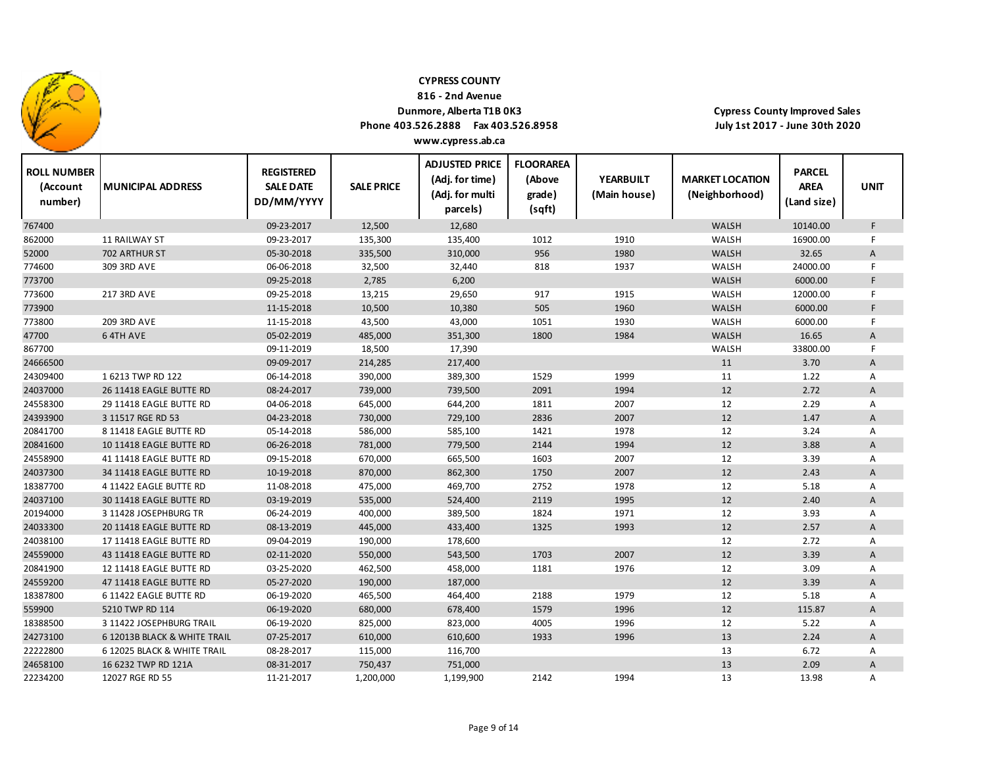

**816 ‐ 2nd Avenue**

# **Dunmore, Alberta T1B 0K3**

**Phone 403.526.2888 Fax 403.526.8958**

**Cypress County Improved Sales July 1st 2017 ‐ June 30th 2020**

| <b>ROLL NUMBER</b><br>(Account<br>number) | <b>MUNICIPAL ADDRESS</b>     | <b>REGISTERED</b><br><b>SALE DATE</b><br>DD/MM/YYYY | <b>SALE PRICE</b> | <b>ADJUSTED PRICE</b><br>(Adj. for time)<br>(Adj. for multi<br>parcels) | <b>FLOORAREA</b><br>(Above<br>grade)<br>(sqft) | <b>YEARBUILT</b><br>(Main house) | <b>MARKET LOCATION</b><br>(Neighborhood) | <b>PARCEL</b><br><b>AREA</b><br>(Land size) | <b>UNIT</b> |
|-------------------------------------------|------------------------------|-----------------------------------------------------|-------------------|-------------------------------------------------------------------------|------------------------------------------------|----------------------------------|------------------------------------------|---------------------------------------------|-------------|
| 767400                                    |                              | 09-23-2017                                          | 12,500            | 12,680                                                                  |                                                |                                  | <b>WALSH</b>                             | 10140.00                                    | F           |
| 862000                                    | <b>11 RAILWAY ST</b>         | 09-23-2017                                          | 135,300           | 135,400                                                                 | 1012                                           | 1910                             | <b>WALSH</b>                             | 16900.00                                    | F           |
| 52000                                     | 702 ARTHUR ST                | 05-30-2018                                          | 335,500           | 310,000                                                                 | 956                                            | 1980                             | WALSH                                    | 32.65                                       | Α           |
| 774600                                    | 309 3RD AVE                  | 06-06-2018                                          | 32,500            | 32,440                                                                  | 818                                            | 1937                             | WALSH                                    | 24000.00                                    | F           |
| 773700                                    |                              | 09-25-2018                                          | 2,785             | 6,200                                                                   |                                                |                                  | WALSH                                    | 6000.00                                     | F           |
| 773600                                    | 217 3RD AVE                  | 09-25-2018                                          | 13,215            | 29,650                                                                  | 917                                            | 1915                             | WALSH                                    | 12000.00                                    | F           |
| 773900                                    |                              | 11-15-2018                                          | 10,500            | 10,380                                                                  | 505                                            | 1960                             | WALSH                                    | 6000.00                                     | F           |
| 773800                                    | 209 3RD AVE                  | 11-15-2018                                          | 43,500            | 43,000                                                                  | 1051                                           | 1930                             | WALSH                                    | 6000.00                                     | F.          |
| 47700                                     | 64TH AVE                     | 05-02-2019                                          | 485,000           | 351,300                                                                 | 1800                                           | 1984                             | <b>WALSH</b>                             | 16.65                                       | Α           |
| 867700                                    |                              | 09-11-2019                                          | 18,500            | 17,390                                                                  |                                                |                                  | WALSH                                    | 33800.00                                    | F.          |
| 24666500                                  |                              | 09-09-2017                                          | 214,285           | 217,400                                                                 |                                                |                                  | 11                                       | 3.70                                        | Α           |
| 24309400                                  | 1 6213 TWP RD 122            | 06-14-2018                                          | 390,000           | 389,300                                                                 | 1529                                           | 1999                             | 11                                       | 1.22                                        | Α           |
| 24037000                                  | 26 11418 EAGLE BUTTE RD      | 08-24-2017                                          | 739,000           | 739,500                                                                 | 2091                                           | 1994                             | 12                                       | 2.72                                        | Α           |
| 24558300                                  | 29 11418 EAGLE BUTTE RD      | 04-06-2018                                          | 645,000           | 644,200                                                                 | 1811                                           | 2007                             | 12                                       | 2.29                                        | Α           |
| 24393900                                  | 3 11517 RGE RD 53            | 04-23-2018                                          | 730,000           | 729,100                                                                 | 2836                                           | 2007                             | 12                                       | 1.47                                        | Α           |
| 20841700                                  | 8 11418 EAGLE BUTTE RD       | 05-14-2018                                          | 586,000           | 585,100                                                                 | 1421                                           | 1978                             | 12                                       | 3.24                                        | Α           |
| 20841600                                  | 10 11418 EAGLE BUTTE RD      | 06-26-2018                                          | 781,000           | 779,500                                                                 | 2144                                           | 1994                             | 12                                       | 3.88                                        | A           |
| 24558900                                  | 41 11418 EAGLE BUTTE RD      | 09-15-2018                                          | 670,000           | 665,500                                                                 | 1603                                           | 2007                             | 12                                       | 3.39                                        | Α           |
| 24037300                                  | 34 11418 EAGLE BUTTE RD      | 10-19-2018                                          | 870,000           | 862,300                                                                 | 1750                                           | 2007                             | 12                                       | 2.43                                        | A           |
| 18387700                                  | 4 11422 EAGLE BUTTE RD       | 11-08-2018                                          | 475,000           | 469,700                                                                 | 2752                                           | 1978                             | 12                                       | 5.18                                        | Α           |
| 24037100                                  | 30 11418 EAGLE BUTTE RD      | 03-19-2019                                          | 535,000           | 524,400                                                                 | 2119                                           | 1995                             | 12                                       | 2.40                                        | Α           |
| 20194000                                  | 3 11428 JOSEPHBURG TR        | 06-24-2019                                          | 400,000           | 389,500                                                                 | 1824                                           | 1971                             | 12                                       | 3.93                                        | А           |
| 24033300                                  | 20 11418 EAGLE BUTTE RD      | 08-13-2019                                          | 445,000           | 433,400                                                                 | 1325                                           | 1993                             | 12                                       | 2.57                                        | A           |
| 24038100                                  | 17 11418 EAGLE BUTTE RD      | 09-04-2019                                          | 190,000           | 178,600                                                                 |                                                |                                  | 12                                       | 2.72                                        | Α           |
| 24559000                                  | 43 11418 EAGLE BUTTE RD      | 02-11-2020                                          | 550,000           | 543,500                                                                 | 1703                                           | 2007                             | 12                                       | 3.39                                        | Α           |
| 20841900                                  | 12 11418 EAGLE BUTTE RD      | 03-25-2020                                          | 462,500           | 458,000                                                                 | 1181                                           | 1976                             | 12                                       | 3.09                                        | Α           |
| 24559200                                  | 47 11418 EAGLE BUTTE RD      | 05-27-2020                                          | 190,000           | 187,000                                                                 |                                                |                                  | 12                                       | 3.39                                        | A           |
| 18387800                                  | 6 11422 EAGLE BUTTE RD       | 06-19-2020                                          | 465,500           | 464,400                                                                 | 2188                                           | 1979                             | 12                                       | 5.18                                        | Α           |
| 559900                                    | 5210 TWP RD 114              | 06-19-2020                                          | 680,000           | 678,400                                                                 | 1579                                           | 1996                             | 12                                       | 115.87                                      | Α           |
| 18388500                                  | 3 11422 JOSEPHBURG TRAIL     | 06-19-2020                                          | 825,000           | 823,000                                                                 | 4005                                           | 1996                             | 12                                       | 5.22                                        | А           |
| 24273100                                  | 6 12013B BLACK & WHITE TRAIL | 07-25-2017                                          | 610,000           | 610,600                                                                 | 1933                                           | 1996                             | 13                                       | 2.24                                        | Α           |
| 22222800                                  | 6 12025 BLACK & WHITE TRAIL  | 08-28-2017                                          | 115,000           | 116,700                                                                 |                                                |                                  | 13                                       | 6.72                                        | Α           |
| 24658100                                  | 16 6232 TWP RD 121A          | 08-31-2017                                          | 750,437           | 751,000                                                                 |                                                |                                  | 13                                       | 2.09                                        | Α           |
| 22234200                                  | 12027 RGE RD 55              | 11-21-2017                                          | 1,200,000         | 1,199,900                                                               | 2142                                           | 1994                             | 13                                       | 13.98                                       | А           |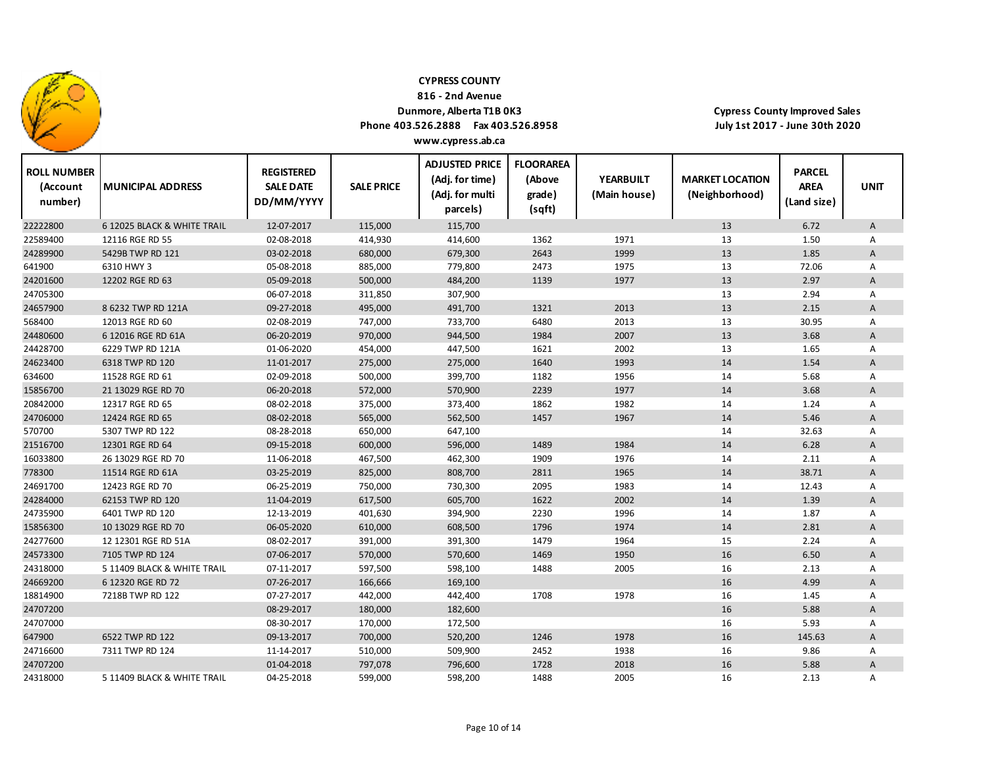

**816 ‐ 2nd Avenue**

### **Dunmore, Alberta T1B 0K3**

**Phone 403.526.2888 Fax 403.526.8958 www.cypress.ab.ca**

| <b>ROLL NUMBER</b><br>(Account<br>number) | <b>MUNICIPAL ADDRESS</b>    | <b>REGISTERED</b><br><b>SALE DATE</b><br>DD/MM/YYYY | <b>SALE PRICE</b> | <b>ADJUSTED PRICE</b><br>(Adj. for time)<br>(Adj. for multi<br>parcels) | <b>FLOORAREA</b><br>(Above<br>grade)<br>(sqft) | <b>YEARBUILT</b><br>(Main house) | <b>MARKET LOCATION</b><br>(Neighborhood) | <b>PARCEL</b><br><b>AREA</b><br>(Land size) | <b>UNIT</b>  |
|-------------------------------------------|-----------------------------|-----------------------------------------------------|-------------------|-------------------------------------------------------------------------|------------------------------------------------|----------------------------------|------------------------------------------|---------------------------------------------|--------------|
| 22222800                                  | 6 12025 BLACK & WHITE TRAIL | 12-07-2017                                          | 115,000           | 115,700                                                                 |                                                |                                  | 13                                       | 6.72                                        | $\mathsf{A}$ |
| 22589400                                  | 12116 RGE RD 55             | 02-08-2018                                          | 414,930           | 414,600                                                                 | 1362                                           | 1971                             | 13                                       | 1.50                                        | Α            |
| 24289900                                  | 5429B TWP RD 121            | 03-02-2018                                          | 680,000           | 679,300                                                                 | 2643                                           | 1999                             | 13                                       | 1.85                                        | $\mathsf{A}$ |
| 641900                                    | 6310 HWY 3                  | 05-08-2018                                          | 885,000           | 779,800                                                                 | 2473                                           | 1975                             | 13                                       | 72.06                                       | Α            |
| 24201600                                  | 12202 RGE RD 63             | 05-09-2018                                          | 500,000           | 484,200                                                                 | 1139                                           | 1977                             | 13                                       | 2.97                                        | $\mathsf{A}$ |
| 24705300                                  |                             | 06-07-2018                                          | 311,850           | 307,900                                                                 |                                                |                                  | 13                                       | 2.94                                        | Α            |
| 24657900                                  | 8 6232 TWP RD 121A          | 09-27-2018                                          | 495,000           | 491,700                                                                 | 1321                                           | 2013                             | 13                                       | 2.15                                        | A            |
| 568400                                    | 12013 RGE RD 60             | 02-08-2019                                          | 747,000           | 733,700                                                                 | 6480                                           | 2013                             | 13                                       | 30.95                                       | Α            |
| 24480600                                  | 6 12016 RGE RD 61A          | 06-20-2019                                          | 970,000           | 944,500                                                                 | 1984                                           | 2007                             | 13                                       | 3.68                                        | $\mathsf{A}$ |
| 24428700                                  | 6229 TWP RD 121A            | 01-06-2020                                          | 454,000           | 447,500                                                                 | 1621                                           | 2002                             | 13                                       | 1.65                                        | Α            |
| 24623400                                  | 6318 TWP RD 120             | 11-01-2017                                          | 275,000           | 275,000                                                                 | 1640                                           | 1993                             | 14                                       | 1.54                                        | A            |
| 634600                                    | 11528 RGE RD 61             | 02-09-2018                                          | 500,000           | 399,700                                                                 | 1182                                           | 1956                             | 14                                       | 5.68                                        | Α            |
| 15856700                                  | 21 13029 RGE RD 70          | 06-20-2018                                          | 572,000           | 570,900                                                                 | 2239                                           | 1977                             | 14                                       | 3.68                                        | A            |
| 20842000                                  | 12317 RGE RD 65             | 08-02-2018                                          | 375,000           | 373,400                                                                 | 1862                                           | 1982                             | 14                                       | 1.24                                        | Α            |
| 24706000                                  | 12424 RGE RD 65             | 08-02-2018                                          | 565,000           | 562,500                                                                 | 1457                                           | 1967                             | 14                                       | 5.46                                        | $\mathsf{A}$ |
| 570700                                    | 5307 TWP RD 122             | 08-28-2018                                          | 650,000           | 647,100                                                                 |                                                |                                  | 14                                       | 32.63                                       | Α            |
| 21516700                                  | 12301 RGE RD 64             | 09-15-2018                                          | 600,000           | 596,000                                                                 | 1489                                           | 1984                             | 14                                       | 6.28                                        | $\mathsf{A}$ |
| 16033800                                  | 26 13029 RGE RD 70          | 11-06-2018                                          | 467,500           | 462,300                                                                 | 1909                                           | 1976                             | 14                                       | 2.11                                        | Α            |
| 778300                                    | 11514 RGE RD 61A            | 03-25-2019                                          | 825,000           | 808,700                                                                 | 2811                                           | 1965                             | 14                                       | 38.71                                       | $\mathsf{A}$ |
| 24691700                                  | 12423 RGE RD 70             | 06-25-2019                                          | 750,000           | 730,300                                                                 | 2095                                           | 1983                             | 14                                       | 12.43                                       | Α            |
| 24284000                                  | 62153 TWP RD 120            | 11-04-2019                                          | 617,500           | 605,700                                                                 | 1622                                           | 2002                             | 14                                       | 1.39                                        | A            |
| 24735900                                  | 6401 TWP RD 120             | 12-13-2019                                          | 401,630           | 394,900                                                                 | 2230                                           | 1996                             | 14                                       | 1.87                                        | Α            |
| 15856300                                  | 10 13029 RGE RD 70          | 06-05-2020                                          | 610,000           | 608,500                                                                 | 1796                                           | 1974                             | 14                                       | 2.81                                        | A            |
| 24277600                                  | 12 12301 RGE RD 51A         | 08-02-2017                                          | 391,000           | 391,300                                                                 | 1479                                           | 1964                             | 15                                       | 2.24                                        | Α            |
| 24573300                                  | 7105 TWP RD 124             | 07-06-2017                                          | 570,000           | 570,600                                                                 | 1469                                           | 1950                             | $16\,$                                   | 6.50                                        | $\mathsf{A}$ |
| 24318000                                  | 5 11409 BLACK & WHITE TRAIL | 07-11-2017                                          | 597,500           | 598,100                                                                 | 1488                                           | 2005                             | 16                                       | 2.13                                        | Α            |
| 24669200                                  | 6 12320 RGE RD 72           | 07-26-2017                                          | 166,666           | 169,100                                                                 |                                                |                                  | $16\,$                                   | 4.99                                        | $\mathsf{A}$ |
| 18814900                                  | 7218B TWP RD 122            | 07-27-2017                                          | 442,000           | 442,400                                                                 | 1708                                           | 1978                             | 16                                       | 1.45                                        | Α            |
| 24707200                                  |                             | 08-29-2017                                          | 180,000           | 182,600                                                                 |                                                |                                  | 16                                       | 5.88                                        | $\mathsf{A}$ |
| 24707000                                  |                             | 08-30-2017                                          | 170,000           | 172,500                                                                 |                                                |                                  | 16                                       | 5.93                                        | Α            |
| 647900                                    | 6522 TWP RD 122             | 09-13-2017                                          | 700,000           | 520,200                                                                 | 1246                                           | 1978                             | 16                                       | 145.63                                      | $\mathsf{A}$ |
| 24716600                                  | 7311 TWP RD 124             | 11-14-2017                                          | 510,000           | 509,900                                                                 | 2452                                           | 1938                             | 16                                       | 9.86                                        | Α            |
| 24707200                                  |                             | 01-04-2018                                          | 797,078           | 796,600                                                                 | 1728                                           | 2018                             | 16                                       | 5.88                                        | A            |
| 24318000                                  | 5 11409 BLACK & WHITE TRAIL | 04-25-2018                                          | 599,000           | 598,200                                                                 | 1488                                           | 2005                             | 16                                       | 2.13                                        | Α            |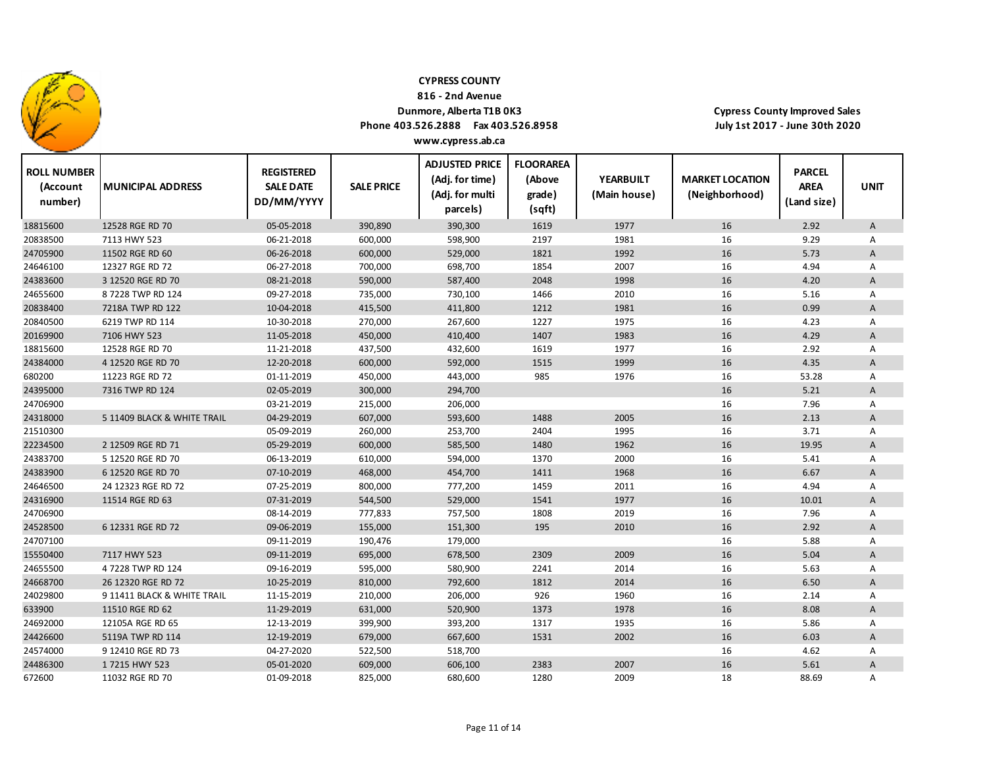

**816 ‐ 2nd Avenue**

# **Dunmore, Alberta T1B 0K3**

**Phone 403.526.2888 Fax 403.526.8958**

**Cypress County Improved Sales July 1st 2017 ‐ June 30th 2020**

| <b>ROLL NUMBER</b><br>(Account<br>number) | <b>MUNICIPAL ADDRESS</b>    | <b>REGISTERED</b><br><b>SALE DATE</b><br>DD/MM/YYYY | <b>SALE PRICE</b> | <b>ADJUSTED PRICE</b><br>(Adj. for time)<br>(Adj. for multi<br>parcels) | <b>FLOORAREA</b><br>(Above<br>grade)<br>(sqft) | <b>YEARBUILT</b><br>(Main house) | <b>MARKET LOCATION</b><br>(Neighborhood) | <b>PARCEL</b><br><b>AREA</b><br>(Land size) | <b>UNIT</b> |
|-------------------------------------------|-----------------------------|-----------------------------------------------------|-------------------|-------------------------------------------------------------------------|------------------------------------------------|----------------------------------|------------------------------------------|---------------------------------------------|-------------|
| 18815600                                  | 12528 RGE RD 70             | 05-05-2018                                          | 390,890           | 390,300                                                                 | 1619                                           | 1977                             | 16                                       | 2.92                                        | A           |
| 20838500                                  | 7113 HWY 523                | 06-21-2018                                          | 600,000           | 598,900                                                                 | 2197                                           | 1981                             | 16                                       | 9.29                                        | Α           |
| 24705900                                  | 11502 RGE RD 60             | 06-26-2018                                          | 600,000           | 529,000                                                                 | 1821                                           | 1992                             | 16                                       | 5.73                                        | Α           |
| 24646100                                  | 12327 RGE RD 72             | 06-27-2018                                          | 700,000           | 698,700                                                                 | 1854                                           | 2007                             | 16                                       | 4.94                                        | Α           |
| 24383600                                  | 3 12520 RGE RD 70           | 08-21-2018                                          | 590,000           | 587,400                                                                 | 2048                                           | 1998                             | 16                                       | 4.20                                        | A           |
| 24655600                                  | 87228 TWP RD 124            | 09-27-2018                                          | 735,000           | 730,100                                                                 | 1466                                           | 2010                             | 16                                       | 5.16                                        | Α           |
| 20838400                                  | 7218A TWP RD 122            | 10-04-2018                                          | 415,500           | 411,800                                                                 | 1212                                           | 1981                             | 16                                       | 0.99                                        | A           |
| 20840500                                  | 6219 TWP RD 114             | 10-30-2018                                          | 270,000           | 267,600                                                                 | 1227                                           | 1975                             | 16                                       | 4.23                                        | Α           |
| 20169900                                  | 7106 HWY 523                | 11-05-2018                                          | 450,000           | 410,400                                                                 | 1407                                           | 1983                             | 16                                       | 4.29                                        | Α           |
| 18815600                                  | 12528 RGE RD 70             | 11-21-2018                                          | 437,500           | 432,600                                                                 | 1619                                           | 1977                             | 16                                       | 2.92                                        | Α           |
| 24384000                                  | 4 12520 RGE RD 70           | 12-20-2018                                          | 600,000           | 592,000                                                                 | 1515                                           | 1999                             | 16                                       | 4.35                                        | A           |
| 680200                                    | 11223 RGE RD 72             | 01-11-2019                                          | 450,000           | 443,000                                                                 | 985                                            | 1976                             | 16                                       | 53.28                                       | Α           |
| 24395000                                  | 7316 TWP RD 124             | 02-05-2019                                          | 300,000           | 294,700                                                                 |                                                |                                  | 16                                       | 5.21                                        | Α           |
| 24706900                                  |                             | 03-21-2019                                          | 215,000           | 206,000                                                                 |                                                |                                  | 16                                       | 7.96                                        | Α           |
| 24318000                                  | 5 11409 BLACK & WHITE TRAIL | 04-29-2019                                          | 607,000           | 593,600                                                                 | 1488                                           | 2005                             | 16                                       | 2.13                                        | A           |
| 21510300                                  |                             | 05-09-2019                                          | 260,000           | 253,700                                                                 | 2404                                           | 1995                             | 16                                       | 3.71                                        | Α           |
| 22234500                                  | 2 12509 RGE RD 71           | 05-29-2019                                          | 600,000           | 585,500                                                                 | 1480                                           | 1962                             | 16                                       | 19.95                                       | Α           |
| 24383700                                  | 5 12520 RGE RD 70           | 06-13-2019                                          | 610,000           | 594,000                                                                 | 1370                                           | 2000                             | 16                                       | 5.41                                        | Α           |
| 24383900                                  | 6 12520 RGE RD 70           | 07-10-2019                                          | 468,000           | 454,700                                                                 | 1411                                           | 1968                             | 16                                       | 6.67                                        | Α           |
| 24646500                                  | 24 12323 RGE RD 72          | 07-25-2019                                          | 800,000           | 777,200                                                                 | 1459                                           | 2011                             | 16                                       | 4.94                                        | Α           |
| 24316900                                  | 11514 RGE RD 63             | 07-31-2019                                          | 544,500           | 529,000                                                                 | 1541                                           | 1977                             | 16                                       | 10.01                                       | A           |
| 24706900                                  |                             | 08-14-2019                                          | 777,833           | 757,500                                                                 | 1808                                           | 2019                             | 16                                       | 7.96                                        | Α           |
| 24528500                                  | 6 12331 RGE RD 72           | 09-06-2019                                          | 155,000           | 151,300                                                                 | 195                                            | 2010                             | 16                                       | 2.92                                        | A           |
| 24707100                                  |                             | 09-11-2019                                          | 190,476           | 179,000                                                                 |                                                |                                  | 16                                       | 5.88                                        | Α           |
| 15550400                                  | 7117 HWY 523                | 09-11-2019                                          | 695,000           | 678,500                                                                 | 2309                                           | 2009                             | 16                                       | 5.04                                        | Α           |
| 24655500                                  | 47228 TWP RD 124            | 09-16-2019                                          | 595,000           | 580,900                                                                 | 2241                                           | 2014                             | 16                                       | 5.63                                        | Α           |
| 24668700                                  | 26 12320 RGE RD 72          | 10-25-2019                                          | 810,000           | 792,600                                                                 | 1812                                           | 2014                             | 16                                       | 6.50                                        | A           |
| 24029800                                  | 9 11411 BLACK & WHITE TRAIL | 11-15-2019                                          | 210,000           | 206,000                                                                 | 926                                            | 1960                             | 16                                       | 2.14                                        | Α           |
| 633900                                    | 11510 RGE RD 62             | 11-29-2019                                          | 631,000           | 520,900                                                                 | 1373                                           | 1978                             | 16                                       | 8.08                                        | Α           |
| 24692000                                  | 12105A RGE RD 65            | 12-13-2019                                          | 399,900           | 393,200                                                                 | 1317                                           | 1935                             | 16                                       | 5.86                                        | Α           |
| 24426600                                  | 5119A TWP RD 114            | 12-19-2019                                          | 679,000           | 667,600                                                                 | 1531                                           | 2002                             | 16                                       | 6.03                                        | Α           |
| 24574000                                  | 9 12410 RGE RD 73           | 04-27-2020                                          | 522,500           | 518,700                                                                 |                                                |                                  | 16                                       | 4.62                                        | Α           |
| 24486300                                  | 17215 HWY 523               | 05-01-2020                                          | 609,000           | 606,100                                                                 | 2383                                           | 2007                             | 16                                       | 5.61                                        | Α           |
| 672600                                    | 11032 RGE RD 70             | 01-09-2018                                          | 825,000           | 680,600                                                                 | 1280                                           | 2009                             | 18                                       | 88.69                                       | Α           |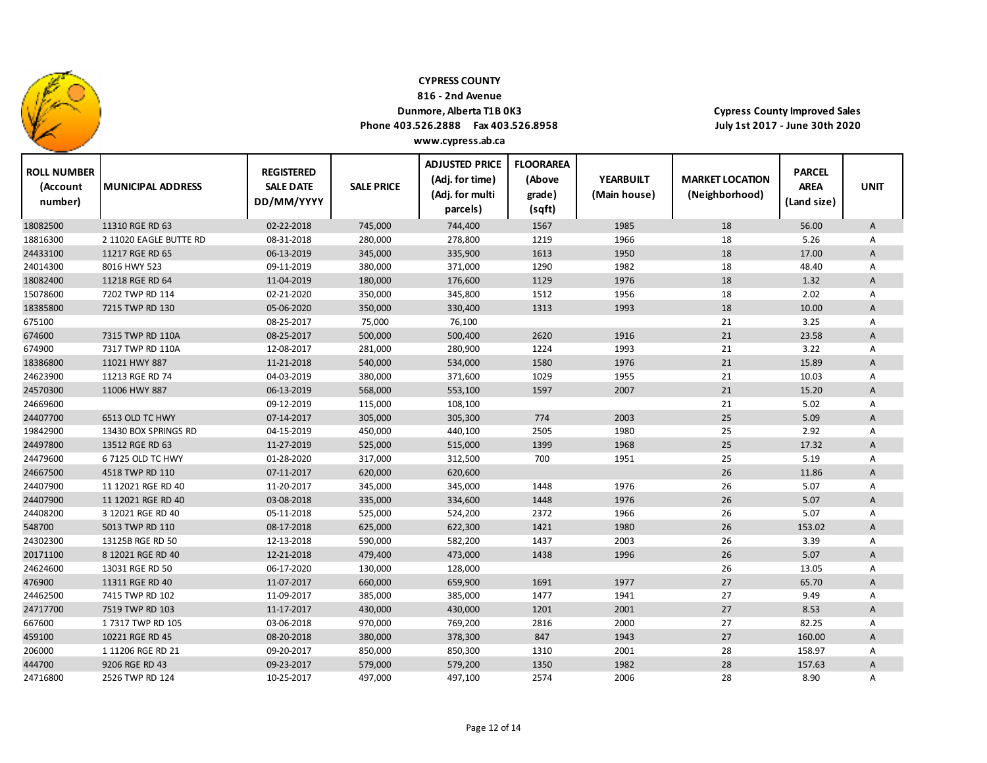

**816 ‐ 2nd Avenue**

# **Dunmore, Alberta T1B 0K3**

**Phone 403.526.2888 Fax 403.526.8958 www.cypress.ab.ca**

| <b>ROLL NUMBER</b><br>(Account<br>number) | <b>MUNICIPAL ADDRESS</b> | <b>REGISTERED</b><br><b>SALE DATE</b><br>DD/MM/YYYY | <b>SALE PRICE</b> | <b>ADJUSTED PRICE</b><br>(Adj. for time)<br>(Adj. for multi<br>parcels) | <b>FLOORAREA</b><br>(Above<br>grade)<br>(sqft) | <b>YEARBUILT</b><br>(Main house) | <b>MARKET LOCATION</b><br>(Neighborhood) | <b>PARCEL</b><br><b>AREA</b><br>(Land size) | <b>UNIT</b> |
|-------------------------------------------|--------------------------|-----------------------------------------------------|-------------------|-------------------------------------------------------------------------|------------------------------------------------|----------------------------------|------------------------------------------|---------------------------------------------|-------------|
| 18082500                                  | 11310 RGE RD 63          | 02-22-2018                                          | 745,000           | 744,400                                                                 | 1567                                           | 1985                             | 18                                       | 56.00                                       | A           |
| 18816300                                  | 2 11020 EAGLE BUTTE RD   | 08-31-2018                                          | 280,000           | 278,800                                                                 | 1219                                           | 1966                             | 18                                       | 5.26                                        | Α           |
| 24433100                                  | 11217 RGE RD 65          | 06-13-2019                                          | 345,000           | 335,900                                                                 | 1613                                           | 1950                             | 18                                       | 17.00                                       | A           |
| 24014300                                  | 8016 HWY 523             | 09-11-2019                                          | 380,000           | 371,000                                                                 | 1290                                           | 1982                             | 18                                       | 48.40                                       | Α           |
| 18082400                                  | 11218 RGE RD 64          | 11-04-2019                                          | 180,000           | 176,600                                                                 | 1129                                           | 1976                             | 18                                       | 1.32                                        | A           |
| 15078600                                  | 7202 TWP RD 114          | 02-21-2020                                          | 350,000           | 345,800                                                                 | 1512                                           | 1956                             | 18                                       | 2.02                                        | Α           |
| 18385800                                  | 7215 TWP RD 130          | 05-06-2020                                          | 350,000           | 330,400                                                                 | 1313                                           | 1993                             | 18                                       | 10.00                                       | A           |
| 675100                                    |                          | 08-25-2017                                          | 75,000            | 76,100                                                                  |                                                |                                  | 21                                       | 3.25                                        | A           |
| 674600                                    | 7315 TWP RD 110A         | 08-25-2017                                          | 500,000           | 500,400                                                                 | 2620                                           | 1916                             | 21                                       | 23.58                                       | A           |
| 674900                                    | 7317 TWP RD 110A         | 12-08-2017                                          | 281,000           | 280,900                                                                 | 1224                                           | 1993                             | 21                                       | 3.22                                        | Α           |
| 18386800                                  | 11021 HWY 887            | 11-21-2018                                          | 540,000           | 534,000                                                                 | 1580                                           | 1976                             | 21                                       | 15.89                                       | A           |
| 24623900                                  | 11213 RGE RD 74          | 04-03-2019                                          | 380,000           | 371,600                                                                 | 1029                                           | 1955                             | 21                                       | 10.03                                       | Α           |
| 24570300                                  | 11006 HWY 887            | 06-13-2019                                          | 568,000           | 553,100                                                                 | 1597                                           | 2007                             | 21                                       | 15.20                                       | A           |
| 24669600                                  |                          | 09-12-2019                                          | 115,000           | 108,100                                                                 |                                                |                                  | 21                                       | 5.02                                        | Α           |
| 24407700                                  | 6513 OLD TC HWY          | 07-14-2017                                          | 305,000           | 305,300                                                                 | 774                                            | 2003                             | 25                                       | 5.09                                        | A           |
| 19842900                                  | 13430 BOX SPRINGS RD     | 04-15-2019                                          | 450,000           | 440,100                                                                 | 2505                                           | 1980                             | 25                                       | 2.92                                        | Α           |
| 24497800                                  | 13512 RGE RD 63          | 11-27-2019                                          | 525,000           | 515,000                                                                 | 1399                                           | 1968                             | 25                                       | 17.32                                       | A           |
| 24479600                                  | 6 7125 OLD TC HWY        | 01-28-2020                                          | 317,000           | 312,500                                                                 | 700                                            | 1951                             | 25                                       | 5.19                                        | Α           |
| 24667500                                  | 4518 TWP RD 110          | 07-11-2017                                          | 620,000           | 620,600                                                                 |                                                |                                  | 26                                       | 11.86                                       | A           |
| 24407900                                  | 11 12021 RGE RD 40       | 11-20-2017                                          | 345,000           | 345,000                                                                 | 1448                                           | 1976                             | 26                                       | 5.07                                        | Α           |
| 24407900                                  | 11 12021 RGE RD 40       | 03-08-2018                                          | 335,000           | 334,600                                                                 | 1448                                           | 1976                             | 26                                       | 5.07                                        | A           |
| 24408200                                  | 3 12021 RGE RD 40        | 05-11-2018                                          | 525,000           | 524,200                                                                 | 2372                                           | 1966                             | 26                                       | 5.07                                        | A           |
| 548700                                    | 5013 TWP RD 110          | 08-17-2018                                          | 625,000           | 622,300                                                                 | 1421                                           | 1980                             | 26                                       | 153.02                                      | A           |
| 24302300                                  | 13125B RGE RD 50         | 12-13-2018                                          | 590,000           | 582,200                                                                 | 1437                                           | 2003                             | 26                                       | 3.39                                        | A           |
| 20171100                                  | 8 12021 RGE RD 40        | 12-21-2018                                          | 479,400           | 473,000                                                                 | 1438                                           | 1996                             | 26                                       | 5.07                                        | A           |
| 24624600                                  | 13031 RGE RD 50          | 06-17-2020                                          | 130,000           | 128,000                                                                 |                                                |                                  | 26                                       | 13.05                                       | A           |
| 476900                                    | 11311 RGE RD 40          | 11-07-2017                                          | 660,000           | 659,900                                                                 | 1691                                           | 1977                             | 27                                       | 65.70                                       | A           |
| 24462500                                  | 7415 TWP RD 102          | 11-09-2017                                          | 385,000           | 385,000                                                                 | 1477                                           | 1941                             | 27                                       | 9.49                                        | Α           |
| 24717700                                  | 7519 TWP RD 103          | 11-17-2017                                          | 430,000           | 430,000                                                                 | 1201                                           | 2001                             | 27                                       | 8.53                                        | A           |
| 667600                                    | 17317 TWP RD 105         | 03-06-2018                                          | 970,000           | 769,200                                                                 | 2816                                           | 2000                             | 27                                       | 82.25                                       | Α           |
| 459100                                    | 10221 RGE RD 45          | 08-20-2018                                          | 380,000           | 378,300                                                                 | 847                                            | 1943                             | 27                                       | 160.00                                      | A           |
| 206000                                    | 1 11206 RGE RD 21        | 09-20-2017                                          | 850,000           | 850,300                                                                 | 1310                                           | 2001                             | 28                                       | 158.97                                      | Α           |
| 444700                                    | 9206 RGE RD 43           | 09-23-2017                                          | 579,000           | 579,200                                                                 | 1350                                           | 1982                             | 28                                       | 157.63                                      | A           |
| 24716800                                  | 2526 TWP RD 124          | 10-25-2017                                          | 497,000           | 497,100                                                                 | 2574                                           | 2006                             | 28                                       | 8.90                                        | Α           |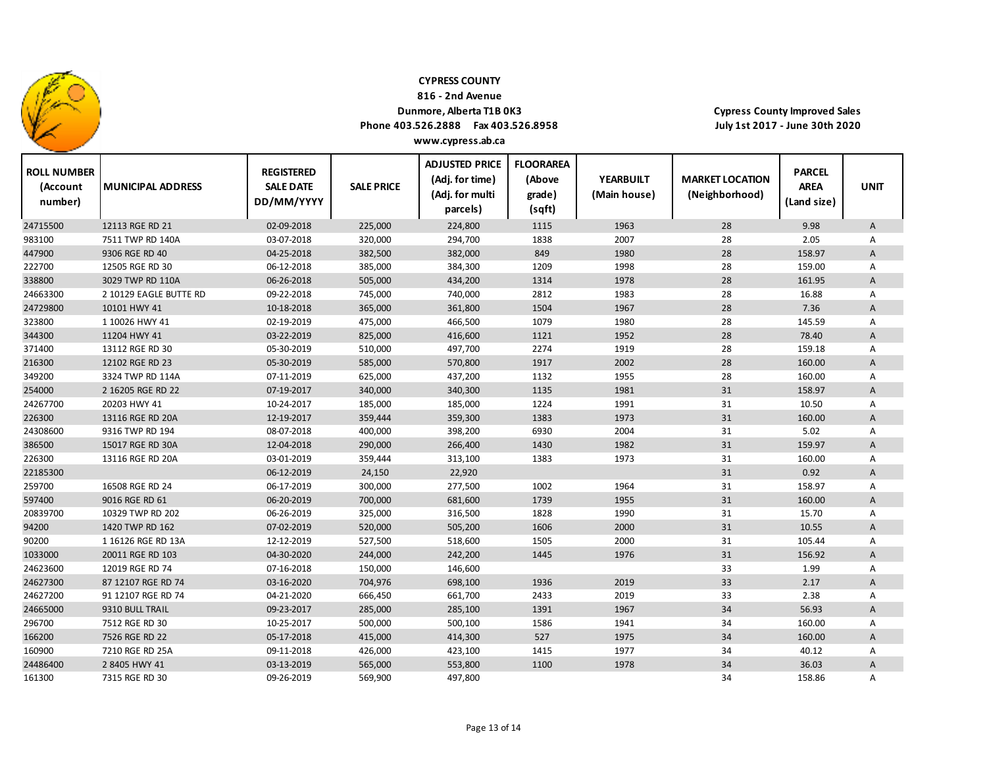

**816 ‐ 2nd Avenue**

## **Dunmore, Alberta T1B 0K3**

**Phone 403.526.2888 Fax 403.526.8958 www.cypress.ab.ca**

| <b>ROLL NUMBER</b><br>(Account<br>number) | <b>MUNICIPAL ADDRESS</b> | <b>REGISTERED</b><br><b>SALE DATE</b><br>DD/MM/YYYY | <b>SALE PRICE</b> | <b>ADJUSTED PRICE</b><br>(Adj. for time)<br>(Adj. for multi<br>parcels) | <b>FLOORAREA</b><br>(Above<br>grade)<br>(sqft) | <b>YEARBUILT</b><br>(Main house) | <b>MARKET LOCATION</b><br>(Neighborhood) | <b>PARCEL</b><br><b>AREA</b><br>(Land size) | <b>UNIT</b>  |
|-------------------------------------------|--------------------------|-----------------------------------------------------|-------------------|-------------------------------------------------------------------------|------------------------------------------------|----------------------------------|------------------------------------------|---------------------------------------------|--------------|
| 24715500                                  | 12113 RGE RD 21          | 02-09-2018                                          | 225,000           | 224,800                                                                 | 1115                                           | 1963                             | 28                                       | 9.98                                        | A            |
| 983100                                    | 7511 TWP RD 140A         | 03-07-2018                                          | 320,000           | 294,700                                                                 | 1838                                           | 2007                             | 28                                       | 2.05                                        | Α            |
| 447900                                    | 9306 RGE RD 40           | 04-25-2018                                          | 382,500           | 382,000                                                                 | 849                                            | 1980                             | 28                                       | 158.97                                      | A            |
| 222700                                    | 12505 RGE RD 30          | 06-12-2018                                          | 385,000           | 384,300                                                                 | 1209                                           | 1998                             | 28                                       | 159.00                                      | Α            |
| 338800                                    | 3029 TWP RD 110A         | 06-26-2018                                          | 505,000           | 434,200                                                                 | 1314                                           | 1978                             | 28                                       | 161.95                                      | A            |
| 24663300                                  | 2 10129 EAGLE BUTTE RD   | 09-22-2018                                          | 745,000           | 740,000                                                                 | 2812                                           | 1983                             | 28                                       | 16.88                                       | Α            |
| 24729800                                  | 10101 HWY 41             | 10-18-2018                                          | 365,000           | 361,800                                                                 | 1504                                           | 1967                             | 28                                       | 7.36                                        | A            |
| 323800                                    | 1 10026 HWY 41           | 02-19-2019                                          | 475,000           | 466,500                                                                 | 1079                                           | 1980                             | 28                                       | 145.59                                      | Α            |
| 344300                                    | 11204 HWY 41             | 03-22-2019                                          | 825,000           | 416,600                                                                 | 1121                                           | 1952                             | 28                                       | 78.40                                       | A            |
| 371400                                    | 13112 RGE RD 30          | 05-30-2019                                          | 510,000           | 497,700                                                                 | 2274                                           | 1919                             | 28                                       | 159.18                                      | Α            |
| 216300                                    | 12102 RGE RD 23          | 05-30-2019                                          | 585,000           | 570,800                                                                 | 1917                                           | 2002                             | 28                                       | 160.00                                      | A            |
| 349200                                    | 3324 TWP RD 114A         | 07-11-2019                                          | 625,000           | 437,200                                                                 | 1132                                           | 1955                             | 28                                       | 160.00                                      | Α            |
| 254000                                    | 2 16205 RGE RD 22        | 07-19-2017                                          | 340,000           | 340,300                                                                 | 1135                                           | 1981                             | 31                                       | 158.97                                      | A            |
| 24267700                                  | 20203 HWY 41             | 10-24-2017                                          | 185,000           | 185,000                                                                 | 1224                                           | 1991                             | 31                                       | 10.50                                       | Α            |
| 226300                                    | 13116 RGE RD 20A         | 12-19-2017                                          | 359,444           | 359,300                                                                 | 1383                                           | 1973                             | 31                                       | 160.00                                      | A            |
| 24308600                                  | 9316 TWP RD 194          | 08-07-2018                                          | 400,000           | 398,200                                                                 | 6930                                           | 2004                             | 31                                       | 5.02                                        | Α            |
| 386500                                    | 15017 RGE RD 30A         | 12-04-2018                                          | 290,000           | 266,400                                                                 | 1430                                           | 1982                             | 31                                       | 159.97                                      | $\mathsf{A}$ |
| 226300                                    | 13116 RGE RD 20A         | 03-01-2019                                          | 359,444           | 313,100                                                                 | 1383                                           | 1973                             | 31                                       | 160.00                                      | Α            |
| 22185300                                  |                          | 06-12-2019                                          | 24,150            | 22,920                                                                  |                                                |                                  | 31                                       | 0.92                                        | A            |
| 259700                                    | 16508 RGE RD 24          | 06-17-2019                                          | 300,000           | 277,500                                                                 | 1002                                           | 1964                             | 31                                       | 158.97                                      | Α            |
| 597400                                    | 9016 RGE RD 61           | 06-20-2019                                          | 700,000           | 681,600                                                                 | 1739                                           | 1955                             | 31                                       | 160.00                                      | A            |
| 20839700                                  | 10329 TWP RD 202         | 06-26-2019                                          | 325,000           | 316,500                                                                 | 1828                                           | 1990                             | 31                                       | 15.70                                       | Α            |
| 94200                                     | 1420 TWP RD 162          | 07-02-2019                                          | 520,000           | 505,200                                                                 | 1606                                           | 2000                             | 31                                       | 10.55                                       | $\mathsf A$  |
| 90200                                     | 1 16126 RGE RD 13A       | 12-12-2019                                          | 527,500           | 518,600                                                                 | 1505                                           | 2000                             | 31                                       | 105.44                                      | Α            |
| 1033000                                   | 20011 RGE RD 103         | 04-30-2020                                          | 244,000           | 242,200                                                                 | 1445                                           | 1976                             | 31                                       | 156.92                                      | A            |
| 24623600                                  | 12019 RGE RD 74          | 07-16-2018                                          | 150,000           | 146,600                                                                 |                                                |                                  | 33                                       | 1.99                                        | Α            |
| 24627300                                  | 87 12107 RGE RD 74       | 03-16-2020                                          | 704,976           | 698,100                                                                 | 1936                                           | 2019                             | 33                                       | 2.17                                        | A            |
| 24627200                                  | 91 12107 RGE RD 74       | 04-21-2020                                          | 666,450           | 661,700                                                                 | 2433                                           | 2019                             | 33                                       | 2.38                                        | Α            |
| 24665000                                  | 9310 BULL TRAIL          | 09-23-2017                                          | 285,000           | 285,100                                                                 | 1391                                           | 1967                             | 34                                       | 56.93                                       | A            |
| 296700                                    | 7512 RGE RD 30           | 10-25-2017                                          | 500,000           | 500,100                                                                 | 1586                                           | 1941                             | 34                                       | 160.00                                      | Α            |
| 166200                                    | 7526 RGE RD 22           | 05-17-2018                                          | 415,000           | 414,300                                                                 | 527                                            | 1975                             | 34                                       | 160.00                                      | A            |
| 160900                                    | 7210 RGE RD 25A          | 09-11-2018                                          | 426,000           | 423,100                                                                 | 1415                                           | 1977                             | 34                                       | 40.12                                       | Α            |
| 24486400                                  | 2 8405 HWY 41            | 03-13-2019                                          | 565,000           | 553,800                                                                 | 1100                                           | 1978                             | 34                                       | 36.03                                       | A            |
| 161300                                    | 7315 RGE RD 30           | 09-26-2019                                          | 569,900           | 497,800                                                                 |                                                |                                  | 34                                       | 158.86                                      | Α            |